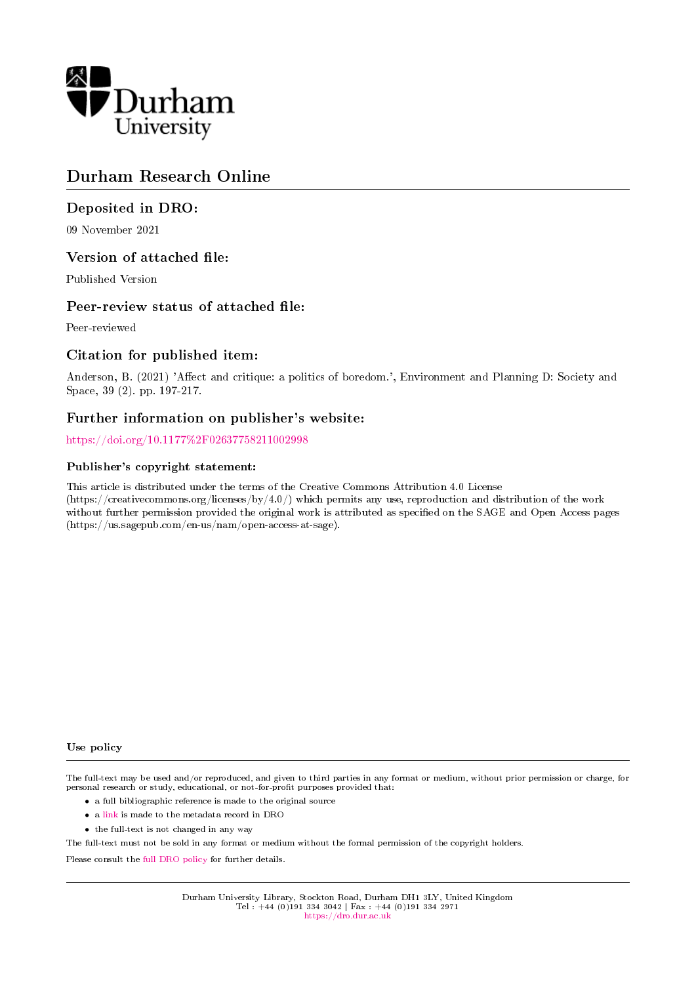

# Durham Research Online

# Deposited in DRO:

09 November 2021

# Version of attached file:

Published Version

# Peer-review status of attached file:

Peer-reviewed

# Citation for published item:

Anderson, B. (2021) 'Affect and critique: a politics of boredom.', Environment and Planning D: Society and Space, 39 (2). pp. 197-217.

# Further information on publisher's website:

<https://doi.org/10.1177%2F02637758211002998>

## Publisher's copyright statement:

This article is distributed under the terms of the Creative Commons Attribution 4.0 License (https://creativecommons.org/licenses/by/4.0/) which permits any use, reproduction and distribution of the work without further permission provided the original work is attributed as specified on the SAGE and Open Access pages (https://us.sagepub.com/en-us/nam/open-access-at-sage).

#### Use policy

The full-text may be used and/or reproduced, and given to third parties in any format or medium, without prior permission or charge, for personal research or study, educational, or not-for-profit purposes provided that:

- a full bibliographic reference is made to the original source
- a [link](http://dro.dur.ac.uk/32698/) is made to the metadata record in DRO
- the full-text is not changed in any way

The full-text must not be sold in any format or medium without the formal permission of the copyright holders.

Please consult the [full DRO policy](https://dro.dur.ac.uk/policies/usepolicy.pdf) for further details.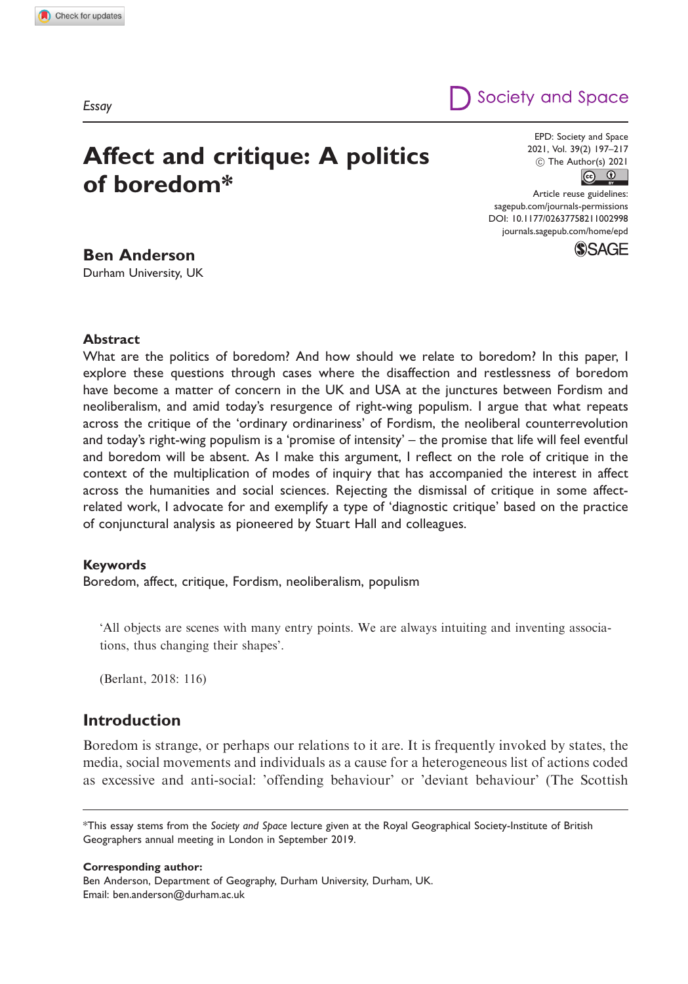# Affect and critique: A politics of boredom\*

EPD: Society and Space 2021, Vol. 39(2) 197–217  $\circled{c}$  The Author(s) 2021



[sagepub.com/journals-permissions](http://uk.sagepub.com/en-gb/journals-permissions) [DOI: 10.1177/02637758211002998](http://dx.doi.org/10.1177/02637758211002998) <journals.sagepub.com/home/epd>**SSAGE** 

Society and Space

## Ben Anderson

Durham University, UK

Abstract

What are the politics of boredom? And how should we relate to boredom? In this paper, I explore these questions through cases where the disaffection and restlessness of boredom have become a matter of concern in the UK and USA at the junctures between Fordism and neoliberalism, and amid today's resurgence of right-wing populism. I argue that what repeats across the critique of the 'ordinary ordinariness' of Fordism, the neoliberal counterrevolution and today's right-wing populism is a 'promise of intensity' – the promise that life will feel eventful and boredom will be absent. As I make this argument, I reflect on the role of critique in the context of the multiplication of modes of inquiry that has accompanied the interest in affect across the humanities and social sciences. Rejecting the dismissal of critique in some affectrelated work, I advocate for and exemplify a type of 'diagnostic critique' based on the practice of conjunctural analysis as pioneered by Stuart Hall and colleagues.

#### Keywords

Boredom, affect, critique, Fordism, neoliberalism, populism

'All objects are scenes with many entry points. We are always intuiting and inventing associations, thus changing their shapes'.

(Berlant, 2018: 116)

## Introduction

Boredom is strange, or perhaps our relations to it are. It is frequently invoked by states, the media, social movements and individuals as a cause for a heterogeneous list of actions coded as excessive and anti-social: 'offending behaviour' or 'deviant behaviour' (The Scottish

Corresponding author:

Ben Anderson, Department of Geography, Durham University, Durham, UK. Email: [ben.anderson@durham.ac.uk](mailto:ben.anderson@durham.ac.uk)

Essay

<sup>\*</sup>This essay stems from the Society and Space lecture given at the Royal Geographical Society-Institute of British Geographers annual meeting in London in September 2019.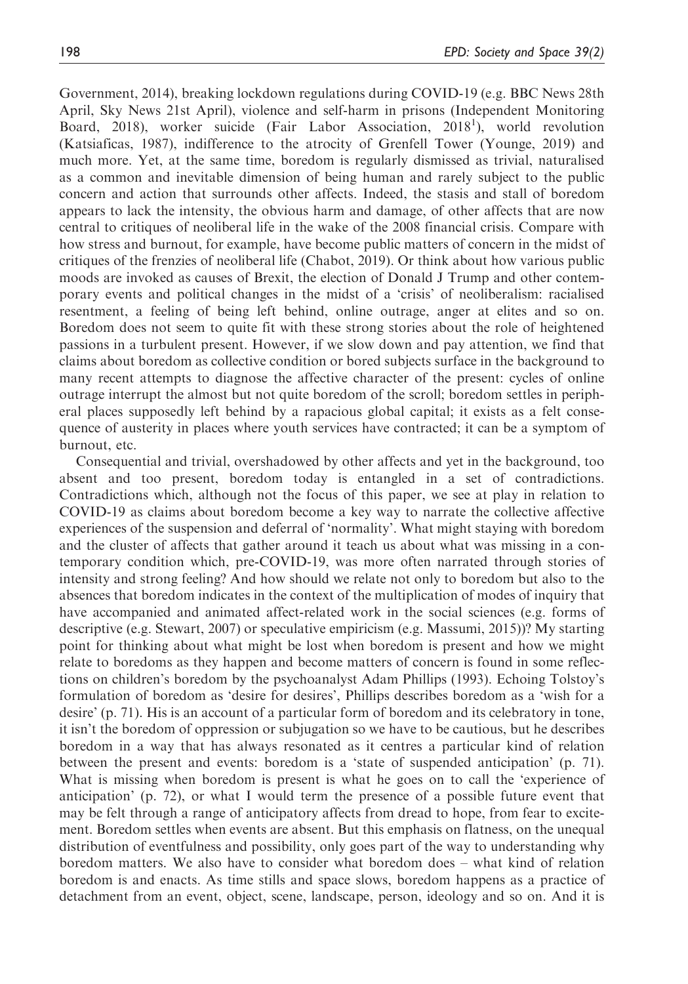Government, 2014), breaking lockdown regulations during COVID-19 (e.g. BBC News 28th April, Sky News 21st April), violence and self-harm in prisons (Independent Monitoring Board, 2018), worker suicide (Fair Labor Association, 2018<sup>1</sup>), world revolution (Katsiaficas, 1987), indifference to the atrocity of Grenfell Tower (Younge, 2019) and much more. Yet, at the same time, boredom is regularly dismissed as trivial, naturalised as a common and inevitable dimension of being human and rarely subject to the public concern and action that surrounds other affects. Indeed, the stasis and stall of boredom appears to lack the intensity, the obvious harm and damage, of other affects that are now central to critiques of neoliberal life in the wake of the 2008 financial crisis. Compare with how stress and burnout, for example, have become public matters of concern in the midst of critiques of the frenzies of neoliberal life (Chabot, 2019). Or think about how various public moods are invoked as causes of Brexit, the election of Donald J Trump and other contemporary events and political changes in the midst of a 'crisis' of neoliberalism: racialised resentment, a feeling of being left behind, online outrage, anger at elites and so on. Boredom does not seem to quite fit with these strong stories about the role of heightened passions in a turbulent present. However, if we slow down and pay attention, we find that claims about boredom as collective condition or bored subjects surface in the background to many recent attempts to diagnose the affective character of the present: cycles of online outrage interrupt the almost but not quite boredom of the scroll; boredom settles in peripheral places supposedly left behind by a rapacious global capital; it exists as a felt consequence of austerity in places where youth services have contracted; it can be a symptom of burnout, etc.

Consequential and trivial, overshadowed by other affects and yet in the background, too absent and too present, boredom today is entangled in a set of contradictions. Contradictions which, although not the focus of this paper, we see at play in relation to COVID-19 as claims about boredom become a key way to narrate the collective affective experiences of the suspension and deferral of 'normality'. What might staying with boredom and the cluster of affects that gather around it teach us about what was missing in a contemporary condition which, pre-COVID-19, was more often narrated through stories of intensity and strong feeling? And how should we relate not only to boredom but also to the absences that boredom indicates in the context of the multiplication of modes of inquiry that have accompanied and animated affect-related work in the social sciences (e.g. forms of descriptive (e.g. Stewart, 2007) or speculative empiricism (e.g. Massumi, 2015))? My starting point for thinking about what might be lost when boredom is present and how we might relate to boredoms as they happen and become matters of concern is found in some reflections on children's boredom by the psychoanalyst Adam Phillips (1993). Echoing Tolstoy's formulation of boredom as 'desire for desires', Phillips describes boredom as a 'wish for a desire' (p. 71). His is an account of a particular form of boredom and its celebratory in tone, it isn't the boredom of oppression or subjugation so we have to be cautious, but he describes boredom in a way that has always resonated as it centres a particular kind of relation between the present and events: boredom is a 'state of suspended anticipation' (p. 71). What is missing when boredom is present is what he goes on to call the 'experience of anticipation' (p. 72), or what I would term the presence of a possible future event that may be felt through a range of anticipatory affects from dread to hope, from fear to excitement. Boredom settles when events are absent. But this emphasis on flatness, on the unequal distribution of eventfulness and possibility, only goes part of the way to understanding why boredom matters. We also have to consider what boredom does – what kind of relation boredom is and enacts. As time stills and space slows, boredom happens as a practice of detachment from an event, object, scene, landscape, person, ideology and so on. And it is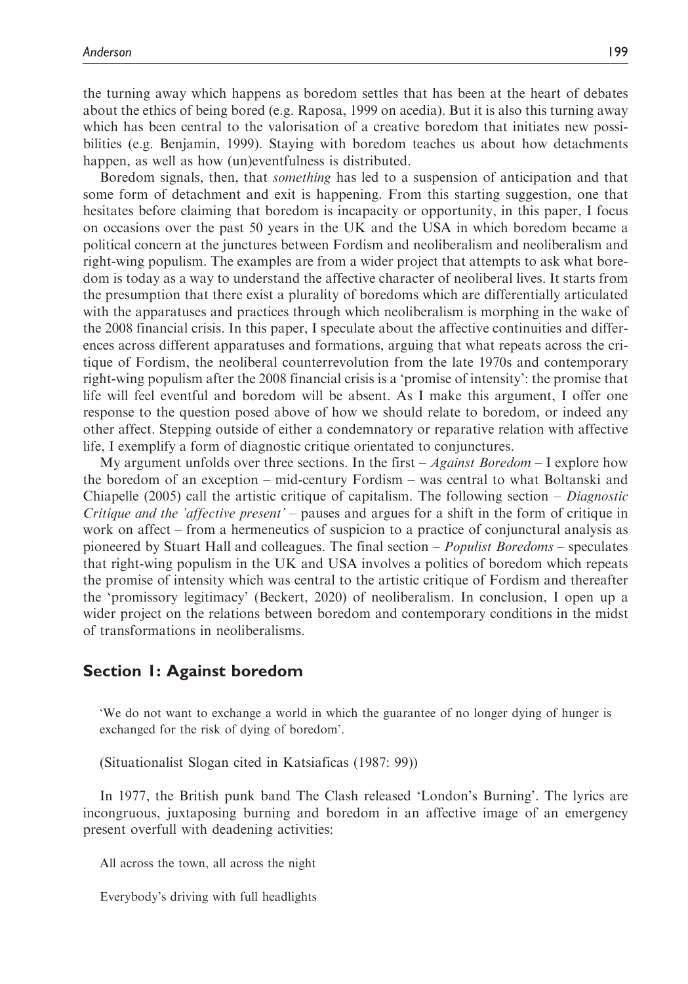the turning away which happens as boredom settles that has been at the heart of debates about the ethics of being bored (e.g. Raposa, 1999 on acedia). But it is also this turning away which has been central to the valorisation of a creative boredom that initiates new possibilities (e.g. Benjamin, 1999). Staying with boredom teaches us about how detachments happen, as well as how (un)eventfulness is distributed.

Boredom signals, then, that something has led to a suspension of anticipation and that some form of detachment and exit is happening. From this starting suggestion, one that hesitates before claiming that boredom is incapacity or opportunity, in this paper, I focus on occasions over the past 50 years in the UK and the USA in which boredom became a political concern at the junctures between Fordism and neoliberalism and neoliberalism and right-wing populism. The examples are from a wider project that attempts to ask what boredom is today as a way to understand the affective character of neoliberal lives. It starts from the presumption that there exist a plurality of boredoms which are differentially articulated with the apparatuses and practices through which neoliberalism is morphing in the wake of the 2008 financial crisis. In this paper, I speculate about the affective continuities and differences across different apparatuses and formations, arguing that what repeats across the critique of Fordism, the neoliberal counterrevolution from the late 1970s and contemporary right-wing populism after the 2008 financial crisis is a 'promise of intensity': the promise that life will feel eventful and boredom will be absent. As I make this argument, I offer one response to the question posed above of how we should relate to boredom, or indeed any other affect. Stepping outside of either a condemnatory or reparative relation with affective life, I exemplify a form of diagnostic critique orientated to conjunctures.

My argument unfolds over three sections. In the first  $-A$  *gainst Boredom*  $-1$  explore how the boredom of an exception – mid-century Fordism – was central to what Boltanski and Chiapelle (2005) call the artistic critique of capitalism. The following section – Diagnostic Critique and the 'affective present' – pauses and argues for a shift in the form of critique in work on affect – from a hermeneutics of suspicion to a practice of conjunctural analysis as pioneered by Stuart Hall and colleagues. The final section – Populist Boredoms – speculates that right-wing populism in the UK and USA involves a politics of boredom which repeats the promise of intensity which was central to the artistic critique of Fordism and thereafter the 'promissory legitimacy' (Beckert, 2020) of neoliberalism. In conclusion, I open up a wider project on the relations between boredom and contemporary conditions in the midst of transformations in neoliberalisms.

## Section 1: Against boredom

'We do not want to exchange a world in which the guarantee of no longer dying of hunger is exchanged for the risk of dying of boredom'.

(Situationalist Slogan cited in Katsiaficas (1987: 99))

In 1977, the British punk band The Clash released 'London's Burning'. The lyrics are incongruous, juxtaposing burning and boredom in an affective image of an emergency present overfull with deadening activities:

All across the town, all across the night

Everybody's driving with full headlights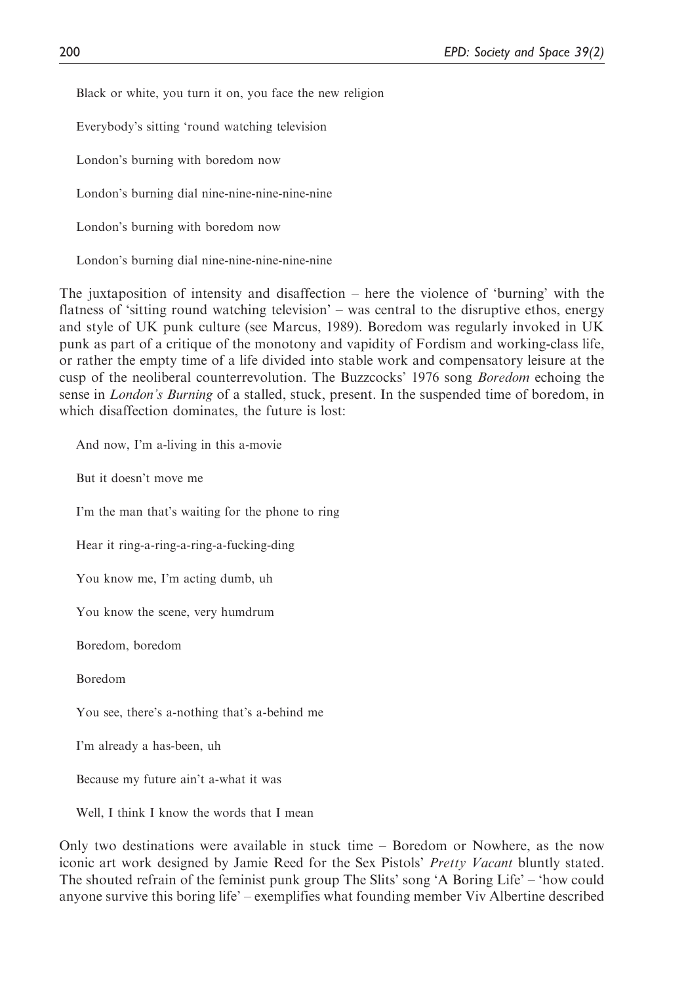Black or white, you turn it on, you face the new religion

Everybody's sitting 'round watching television

London's burning with boredom now

London's burning dial nine-nine-nine-nine-nine

London's burning with boredom now

London's burning dial nine-nine-nine-nine-nine

The juxtaposition of intensity and disaffection – here the violence of 'burning' with the flatness of 'sitting round watching television' – was central to the disruptive ethos, energy and style of UK punk culture (see Marcus, 1989). Boredom was regularly invoked in UK punk as part of a critique of the monotony and vapidity of Fordism and working-class life, or rather the empty time of a life divided into stable work and compensatory leisure at the cusp of the neoliberal counterrevolution. The Buzzcocks' 1976 song *Boredom* echoing the sense in *London's Burning* of a stalled, stuck, present. In the suspended time of boredom, in which disaffection dominates, the future is lost:

And now, I'm a-living in this a-movie

But it doesn't move me

I'm the man that's waiting for the phone to ring

Hear it ring-a-ring-a-ring-a-fucking-ding

You know me, I'm acting dumb, uh

You know the scene, very humdrum

Boredom, boredom

Boredom

You see, there's a-nothing that's a-behind me

I'm already a has-been, uh

Because my future ain't a-what it was

Well, I think I know the words that I mean

Only two destinations were available in stuck time – Boredom or Nowhere, as the now iconic art work designed by Jamie Reed for the Sex Pistols' *Pretty Vacant* bluntly stated. The shouted refrain of the feminist punk group The Slits' song 'A Boring Life' – 'how could anyone survive this boring life' – exemplifies what founding member Viv Albertine described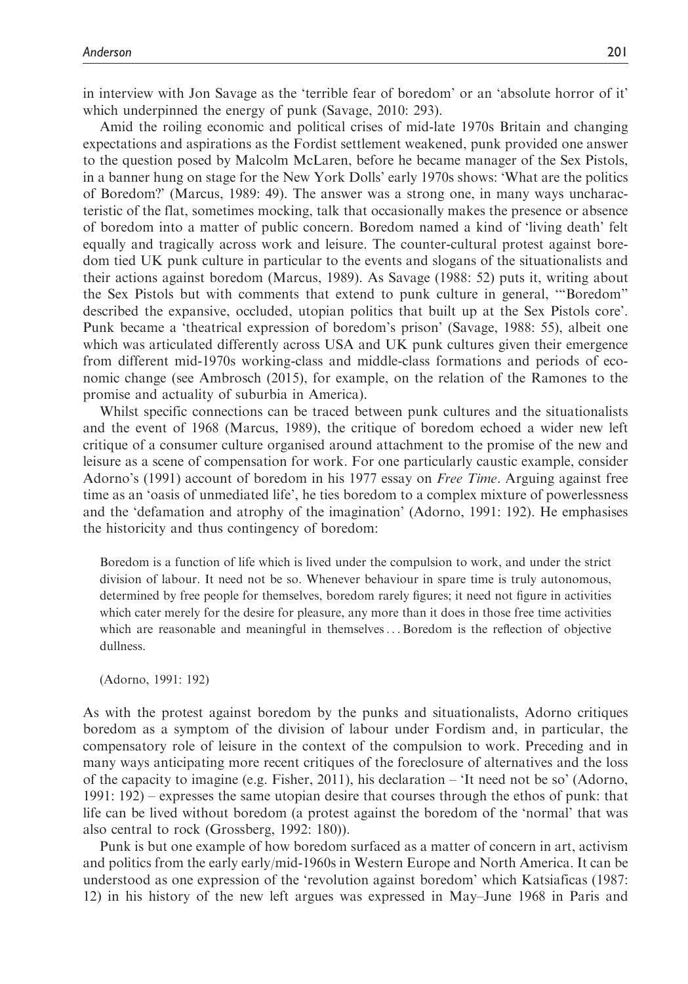in interview with Jon Savage as the 'terrible fear of boredom' or an 'absolute horror of it' which underpinned the energy of punk (Savage, 2010: 293).

Amid the roiling economic and political crises of mid-late 1970s Britain and changing expectations and aspirations as the Fordist settlement weakened, punk provided one answer to the question posed by Malcolm McLaren, before he became manager of the Sex Pistols, in a banner hung on stage for the New York Dolls' early 1970s shows: 'What are the politics of Boredom?' (Marcus, 1989: 49). The answer was a strong one, in many ways uncharacteristic of the flat, sometimes mocking, talk that occasionally makes the presence or absence of boredom into a matter of public concern. Boredom named a kind of 'living death' felt equally and tragically across work and leisure. The counter-cultural protest against boredom tied UK punk culture in particular to the events and slogans of the situationalists and their actions against boredom (Marcus, 1989). As Savage (1988: 52) puts it, writing about the Sex Pistols but with comments that extend to punk culture in general, '"Boredom" described the expansive, occluded, utopian politics that built up at the Sex Pistols core'. Punk became a 'theatrical expression of boredom's prison' (Savage, 1988: 55), albeit one which was articulated differently across USA and UK punk cultures given their emergence from different mid-1970s working-class and middle-class formations and periods of economic change (see Ambrosch (2015), for example, on the relation of the Ramones to the promise and actuality of suburbia in America).

Whilst specific connections can be traced between punk cultures and the situationalists and the event of 1968 (Marcus, 1989), the critique of boredom echoed a wider new left critique of a consumer culture organised around attachment to the promise of the new and leisure as a scene of compensation for work. For one particularly caustic example, consider Adorno's (1991) account of boredom in his 1977 essay on Free Time. Arguing against free time as an 'oasis of unmediated life', he ties boredom to a complex mixture of powerlessness and the 'defamation and atrophy of the imagination' (Adorno, 1991: 192). He emphasises the historicity and thus contingency of boredom:

Boredom is a function of life which is lived under the compulsion to work, and under the strict division of labour. It need not be so. Whenever behaviour in spare time is truly autonomous, determined by free people for themselves, boredom rarely figures; it need not figure in activities which cater merely for the desire for pleasure, any more than it does in those free time activities which are reasonable and meaningful in themselves...Boredom is the reflection of objective dullness.

(Adorno, 1991: 192)

As with the protest against boredom by the punks and situationalists, Adorno critiques boredom as a symptom of the division of labour under Fordism and, in particular, the compensatory role of leisure in the context of the compulsion to work. Preceding and in many ways anticipating more recent critiques of the foreclosure of alternatives and the loss of the capacity to imagine (e.g. Fisher, 2011), his declaration – 'It need not be so' (Adorno, 1991: 192) – expresses the same utopian desire that courses through the ethos of punk: that life can be lived without boredom (a protest against the boredom of the 'normal' that was also central to rock (Grossberg, 1992: 180)).

Punk is but one example of how boredom surfaced as a matter of concern in art, activism and politics from the early early/mid-1960s in Western Europe and North America. It can be understood as one expression of the 'revolution against boredom' which Katsiaficas (1987: 12) in his history of the new left argues was expressed in May–June 1968 in Paris and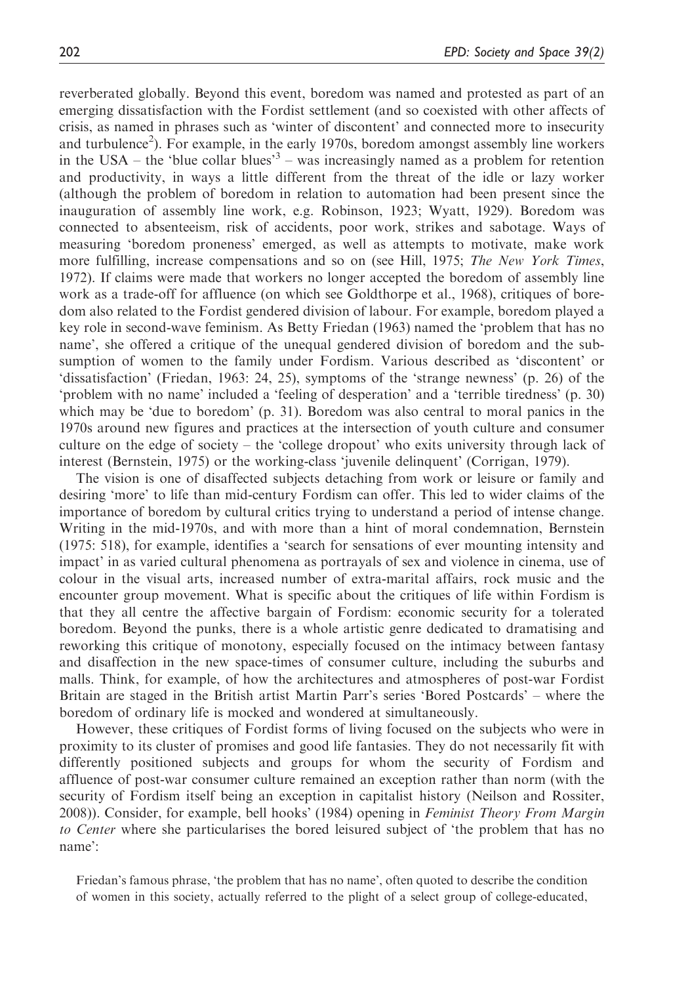reverberated globally. Beyond this event, boredom was named and protested as part of an emerging dissatisfaction with the Fordist settlement (and so coexisted with other affects of crisis, as named in phrases such as 'winter of discontent' and connected more to insecurity and turbulence<sup>2</sup>). For example, in the early 1970s, boredom amongst assembly line workers in the USA – the 'blue collar blues'<sup>3</sup> – was increasingly named as a problem for retention and productivity, in ways a little different from the threat of the idle or lazy worker (although the problem of boredom in relation to automation had been present since the inauguration of assembly line work, e.g. Robinson, 1923; Wyatt, 1929). Boredom was connected to absenteeism, risk of accidents, poor work, strikes and sabotage. Ways of measuring 'boredom proneness' emerged, as well as attempts to motivate, make work more fulfilling, increase compensations and so on (see Hill, 1975; The New York Times, 1972). If claims were made that workers no longer accepted the boredom of assembly line work as a trade-off for affluence (on which see Goldthorpe et al., 1968), critiques of boredom also related to the Fordist gendered division of labour. For example, boredom played a key role in second-wave feminism. As Betty Friedan (1963) named the 'problem that has no name', she offered a critique of the unequal gendered division of boredom and the subsumption of women to the family under Fordism. Various described as 'discontent' or 'dissatisfaction' (Friedan, 1963: 24, 25), symptoms of the 'strange newness' (p. 26) of the 'problem with no name' included a 'feeling of desperation' and a 'terrible tiredness' (p. 30) which may be 'due to boredom' (p. 31). Boredom was also central to moral panics in the 1970s around new figures and practices at the intersection of youth culture and consumer culture on the edge of society – the 'college dropout' who exits university through lack of interest (Bernstein, 1975) or the working-class 'juvenile delinquent' (Corrigan, 1979).

The vision is one of disaffected subjects detaching from work or leisure or family and desiring 'more' to life than mid-century Fordism can offer. This led to wider claims of the importance of boredom by cultural critics trying to understand a period of intense change. Writing in the mid-1970s, and with more than a hint of moral condemnation, Bernstein (1975: 518), for example, identifies a 'search for sensations of ever mounting intensity and impact' in as varied cultural phenomena as portrayals of sex and violence in cinema, use of colour in the visual arts, increased number of extra-marital affairs, rock music and the encounter group movement. What is specific about the critiques of life within Fordism is that they all centre the affective bargain of Fordism: economic security for a tolerated boredom. Beyond the punks, there is a whole artistic genre dedicated to dramatising and reworking this critique of monotony, especially focused on the intimacy between fantasy and disaffection in the new space-times of consumer culture, including the suburbs and malls. Think, for example, of how the architectures and atmospheres of post-war Fordist Britain are staged in the British artist Martin Parr's series 'Bored Postcards' – where the boredom of ordinary life is mocked and wondered at simultaneously.

However, these critiques of Fordist forms of living focused on the subjects who were in proximity to its cluster of promises and good life fantasies. They do not necessarily fit with differently positioned subjects and groups for whom the security of Fordism and affluence of post-war consumer culture remained an exception rather than norm (with the security of Fordism itself being an exception in capitalist history (Neilson and Rossiter, 2008)). Consider, for example, bell hooks' (1984) opening in *Feminist Theory From Margin* to Center where she particularises the bored leisured subject of 'the problem that has no name':

Friedan's famous phrase, 'the problem that has no name', often quoted to describe the condition of women in this society, actually referred to the plight of a select group of college-educated,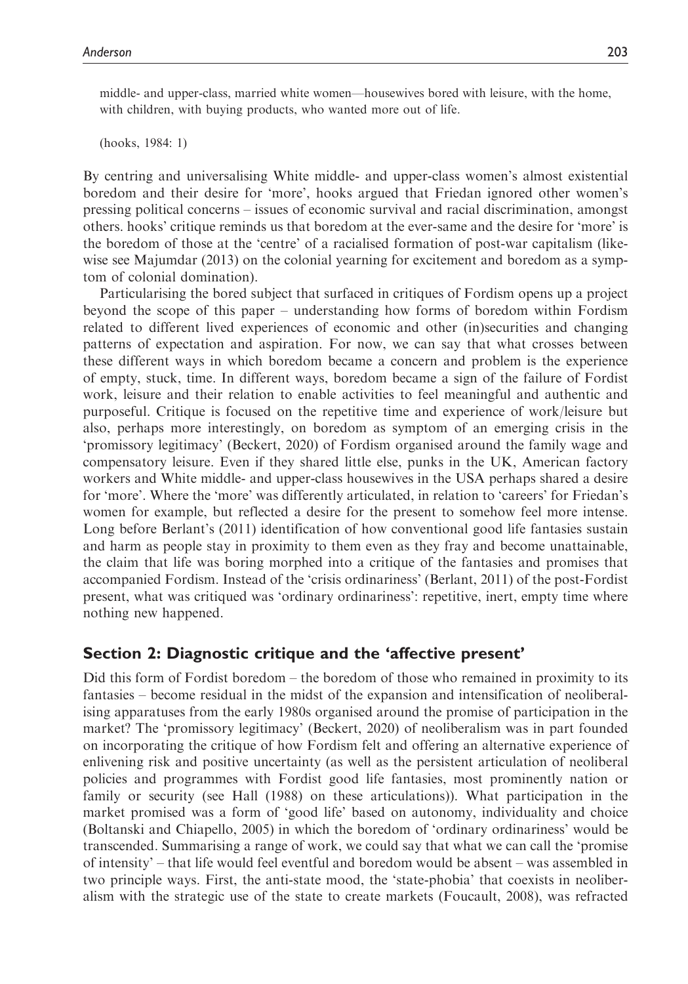middle- and upper-class, married white women—housewives bored with leisure, with the home, with children, with buying products, who wanted more out of life.

(hooks, 1984: 1)

By centring and universalising White middle- and upper-class women's almost existential boredom and their desire for 'more', hooks argued that Friedan ignored other women's pressing political concerns – issues of economic survival and racial discrimination, amongst others. hooks' critique reminds us that boredom at the ever-same and the desire for 'more' is the boredom of those at the 'centre' of a racialised formation of post-war capitalism (likewise see Majumdar (2013) on the colonial yearning for excitement and boredom as a symptom of colonial domination).

Particularising the bored subject that surfaced in critiques of Fordism opens up a project beyond the scope of this paper – understanding how forms of boredom within Fordism related to different lived experiences of economic and other (in)securities and changing patterns of expectation and aspiration. For now, we can say that what crosses between these different ways in which boredom became a concern and problem is the experience of empty, stuck, time. In different ways, boredom became a sign of the failure of Fordist work, leisure and their relation to enable activities to feel meaningful and authentic and purposeful. Critique is focused on the repetitive time and experience of work/leisure but also, perhaps more interestingly, on boredom as symptom of an emerging crisis in the 'promissory legitimacy' (Beckert, 2020) of Fordism organised around the family wage and compensatory leisure. Even if they shared little else, punks in the UK, American factory workers and White middle- and upper-class housewives in the USA perhaps shared a desire for 'more'. Where the 'more' was differently articulated, in relation to 'careers' for Friedan's women for example, but reflected a desire for the present to somehow feel more intense. Long before Berlant's (2011) identification of how conventional good life fantasies sustain and harm as people stay in proximity to them even as they fray and become unattainable, the claim that life was boring morphed into a critique of the fantasies and promises that accompanied Fordism. Instead of the 'crisis ordinariness' (Berlant, 2011) of the post-Fordist present, what was critiqued was 'ordinary ordinariness': repetitive, inert, empty time where nothing new happened.

## Section 2: Diagnostic critique and the 'affective present'

Did this form of Fordist boredom – the boredom of those who remained in proximity to its fantasies – become residual in the midst of the expansion and intensification of neoliberalising apparatuses from the early 1980s organised around the promise of participation in the market? The 'promissory legitimacy' (Beckert, 2020) of neoliberalism was in part founded on incorporating the critique of how Fordism felt and offering an alternative experience of enlivening risk and positive uncertainty (as well as the persistent articulation of neoliberal policies and programmes with Fordist good life fantasies, most prominently nation or family or security (see Hall (1988) on these articulations)). What participation in the market promised was a form of 'good life' based on autonomy, individuality and choice (Boltanski and Chiapello, 2005) in which the boredom of 'ordinary ordinariness' would be transcended. Summarising a range of work, we could say that what we can call the 'promise of intensity' – that life would feel eventful and boredom would be absent – was assembled in two principle ways. First, the anti-state mood, the 'state-phobia' that coexists in neoliberalism with the strategic use of the state to create markets (Foucault, 2008), was refracted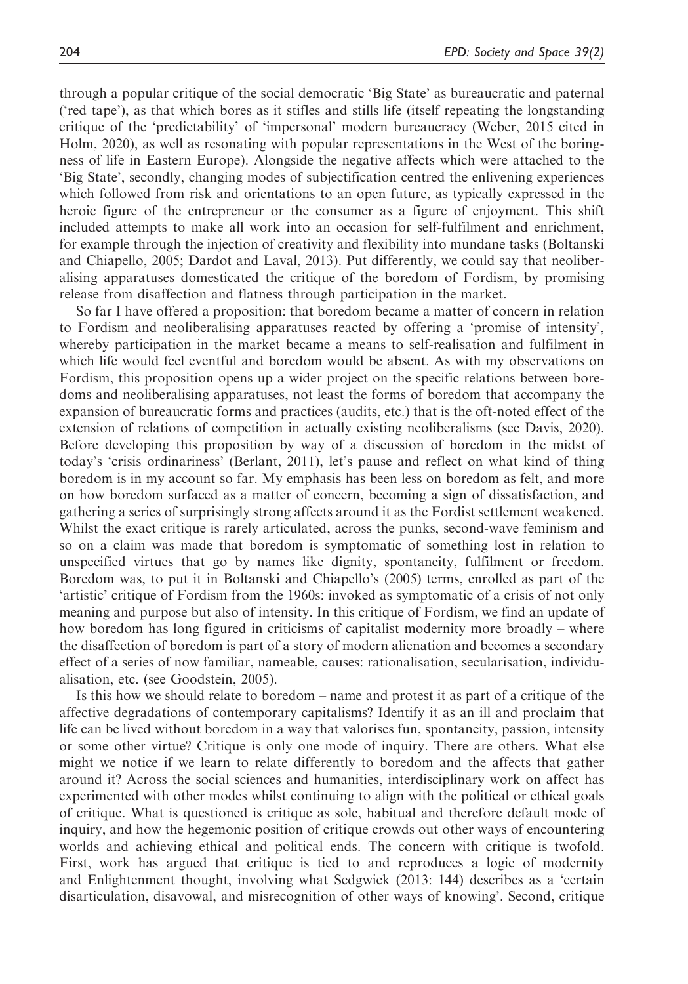through a popular critique of the social democratic 'Big State' as bureaucratic and paternal ('red tape'), as that which bores as it stifles and stills life (itself repeating the longstanding critique of the 'predictability' of 'impersonal' modern bureaucracy (Weber, 2015 cited in Holm, 2020), as well as resonating with popular representations in the West of the boringness of life in Eastern Europe). Alongside the negative affects which were attached to the 'Big State', secondly, changing modes of subjectification centred the enlivening experiences which followed from risk and orientations to an open future, as typically expressed in the heroic figure of the entrepreneur or the consumer as a figure of enjoyment. This shift included attempts to make all work into an occasion for self-fulfilment and enrichment, for example through the injection of creativity and flexibility into mundane tasks (Boltanski and Chiapello, 2005; Dardot and Laval, 2013). Put differently, we could say that neoliberalising apparatuses domesticated the critique of the boredom of Fordism, by promising release from disaffection and flatness through participation in the market.

So far I have offered a proposition: that boredom became a matter of concern in relation to Fordism and neoliberalising apparatuses reacted by offering a 'promise of intensity', whereby participation in the market became a means to self-realisation and fulfilment in which life would feel eventful and boredom would be absent. As with my observations on Fordism, this proposition opens up a wider project on the specific relations between boredoms and neoliberalising apparatuses, not least the forms of boredom that accompany the expansion of bureaucratic forms and practices (audits, etc.) that is the oft-noted effect of the extension of relations of competition in actually existing neoliberalisms (see Davis, 2020). Before developing this proposition by way of a discussion of boredom in the midst of today's 'crisis ordinariness' (Berlant, 2011), let's pause and reflect on what kind of thing boredom is in my account so far. My emphasis has been less on boredom as felt, and more on how boredom surfaced as a matter of concern, becoming a sign of dissatisfaction, and gathering a series of surprisingly strong affects around it as the Fordist settlement weakened. Whilst the exact critique is rarely articulated, across the punks, second-wave feminism and so on a claim was made that boredom is symptomatic of something lost in relation to unspecified virtues that go by names like dignity, spontaneity, fulfilment or freedom. Boredom was, to put it in Boltanski and Chiapello's (2005) terms, enrolled as part of the 'artistic' critique of Fordism from the 1960s: invoked as symptomatic of a crisis of not only meaning and purpose but also of intensity. In this critique of Fordism, we find an update of how boredom has long figured in criticisms of capitalist modernity more broadly – where the disaffection of boredom is part of a story of modern alienation and becomes a secondary effect of a series of now familiar, nameable, causes: rationalisation, secularisation, individualisation, etc. (see Goodstein, 2005).

Is this how we should relate to boredom – name and protest it as part of a critique of the affective degradations of contemporary capitalisms? Identify it as an ill and proclaim that life can be lived without boredom in a way that valorises fun, spontaneity, passion, intensity or some other virtue? Critique is only one mode of inquiry. There are others. What else might we notice if we learn to relate differently to boredom and the affects that gather around it? Across the social sciences and humanities, interdisciplinary work on affect has experimented with other modes whilst continuing to align with the political or ethical goals of critique. What is questioned is critique as sole, habitual and therefore default mode of inquiry, and how the hegemonic position of critique crowds out other ways of encountering worlds and achieving ethical and political ends. The concern with critique is twofold. First, work has argued that critique is tied to and reproduces a logic of modernity and Enlightenment thought, involving what Sedgwick (2013: 144) describes as a 'certain disarticulation, disavowal, and misrecognition of other ways of knowing'. Second, critique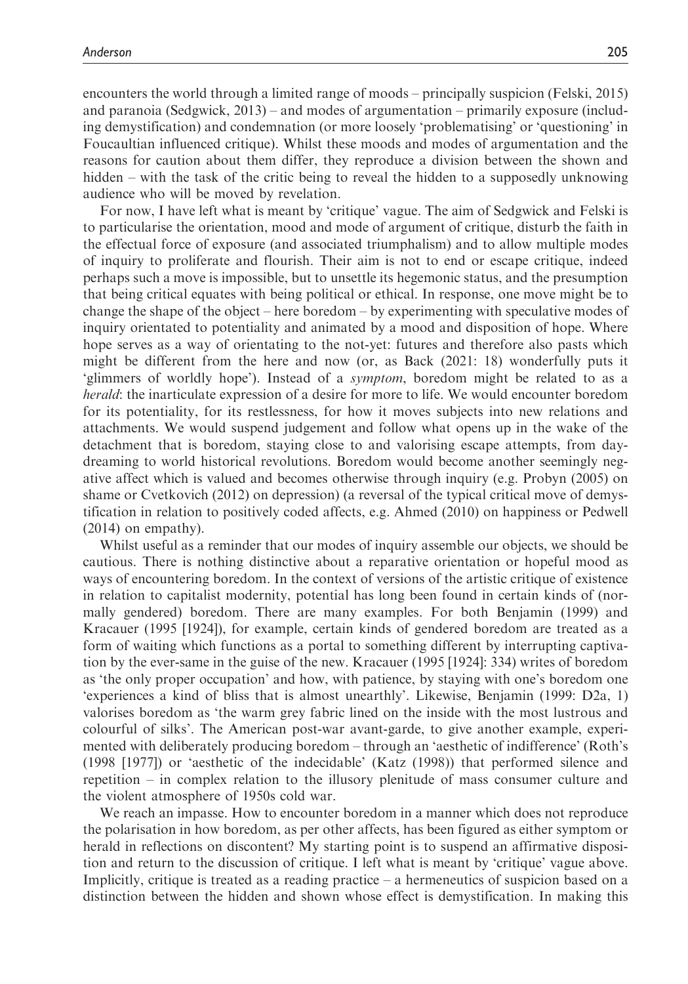encounters the world through a limited range of moods – principally suspicion (Felski, 2015) and paranoia (Sedgwick, 2013) – and modes of argumentation – primarily exposure (including demystification) and condemnation (or more loosely 'problematising' or 'questioning' in Foucaultian influenced critique). Whilst these moods and modes of argumentation and the reasons for caution about them differ, they reproduce a division between the shown and hidden – with the task of the critic being to reveal the hidden to a supposedly unknowing audience who will be moved by revelation.

For now, I have left what is meant by 'critique' vague. The aim of Sedgwick and Felski is to particularise the orientation, mood and mode of argument of critique, disturb the faith in the effectual force of exposure (and associated triumphalism) and to allow multiple modes of inquiry to proliferate and flourish. Their aim is not to end or escape critique, indeed perhaps such a move is impossible, but to unsettle its hegemonic status, and the presumption that being critical equates with being political or ethical. In response, one move might be to change the shape of the object – here boredom – by experimenting with speculative modes of inquiry orientated to potentiality and animated by a mood and disposition of hope. Where hope serves as a way of orientating to the not-yet: futures and therefore also pasts which might be different from the here and now (or, as Back (2021: 18) wonderfully puts it 'glimmers of worldly hope'). Instead of a symptom, boredom might be related to as a herald: the inarticulate expression of a desire for more to life. We would encounter boredom for its potentiality, for its restlessness, for how it moves subjects into new relations and attachments. We would suspend judgement and follow what opens up in the wake of the detachment that is boredom, staying close to and valorising escape attempts, from daydreaming to world historical revolutions. Boredom would become another seemingly negative affect which is valued and becomes otherwise through inquiry (e.g. Probyn (2005) on shame or Cvetkovich (2012) on depression) (a reversal of the typical critical move of demystification in relation to positively coded affects, e.g. Ahmed (2010) on happiness or Pedwell (2014) on empathy).

Whilst useful as a reminder that our modes of inquiry assemble our objects, we should be cautious. There is nothing distinctive about a reparative orientation or hopeful mood as ways of encountering boredom. In the context of versions of the artistic critique of existence in relation to capitalist modernity, potential has long been found in certain kinds of (normally gendered) boredom. There are many examples. For both Benjamin (1999) and Kracauer (1995 [1924]), for example, certain kinds of gendered boredom are treated as a form of waiting which functions as a portal to something different by interrupting captivation by the ever-same in the guise of the new. Kracauer (1995 [1924]: 334) writes of boredom as 'the only proper occupation' and how, with patience, by staying with one's boredom one 'experiences a kind of bliss that is almost unearthly'. Likewise, Benjamin (1999: D2a, 1) valorises boredom as 'the warm grey fabric lined on the inside with the most lustrous and colourful of silks'. The American post-war avant-garde, to give another example, experimented with deliberately producing boredom – through an 'aesthetic of indifference' (Roth's (1998 [1977]) or 'aesthetic of the indecidable' (Katz (1998)) that performed silence and repetition – in complex relation to the illusory plenitude of mass consumer culture and the violent atmosphere of 1950s cold war.

We reach an impasse. How to encounter boredom in a manner which does not reproduce the polarisation in how boredom, as per other affects, has been figured as either symptom or herald in reflections on discontent? My starting point is to suspend an affirmative disposition and return to the discussion of critique. I left what is meant by 'critique' vague above. Implicitly, critique is treated as a reading practice – a hermeneutics of suspicion based on a distinction between the hidden and shown whose effect is demystification. In making this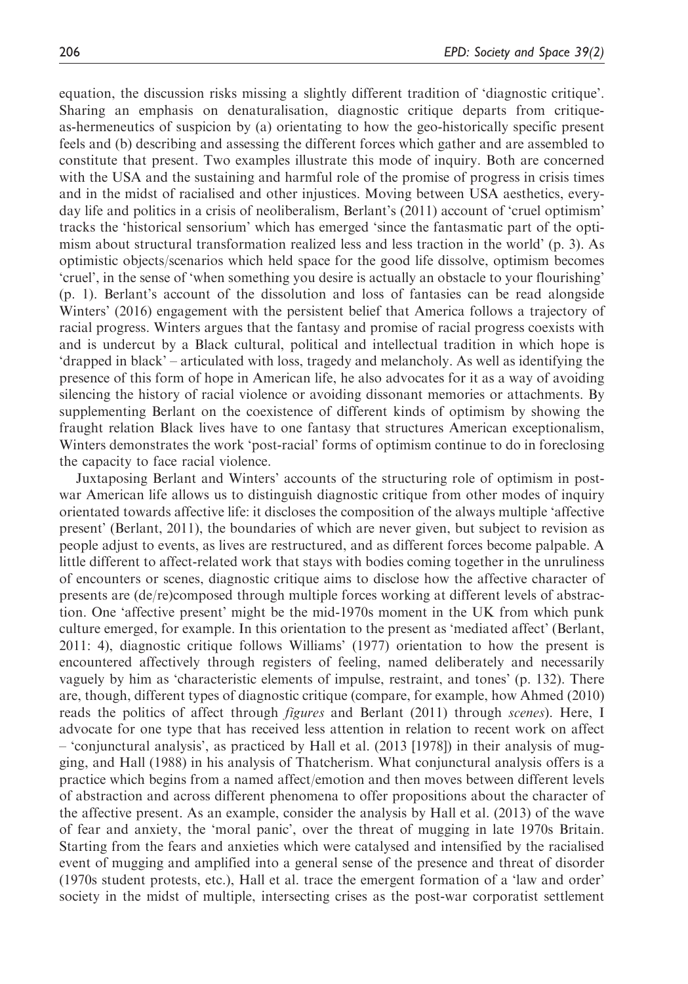equation, the discussion risks missing a slightly different tradition of 'diagnostic critique'. Sharing an emphasis on denaturalisation, diagnostic critique departs from critiqueas-hermeneutics of suspicion by (a) orientating to how the geo-historically specific present feels and (b) describing and assessing the different forces which gather and are assembled to constitute that present. Two examples illustrate this mode of inquiry. Both are concerned with the USA and the sustaining and harmful role of the promise of progress in crisis times and in the midst of racialised and other injustices. Moving between USA aesthetics, everyday life and politics in a crisis of neoliberalism, Berlant's (2011) account of 'cruel optimism' tracks the 'historical sensorium' which has emerged 'since the fantasmatic part of the optimism about structural transformation realized less and less traction in the world' (p. 3). As optimistic objects/scenarios which held space for the good life dissolve, optimism becomes 'cruel', in the sense of 'when something you desire is actually an obstacle to your flourishing' (p. 1). Berlant's account of the dissolution and loss of fantasies can be read alongside Winters' (2016) engagement with the persistent belief that America follows a trajectory of racial progress. Winters argues that the fantasy and promise of racial progress coexists with and is undercut by a Black cultural, political and intellectual tradition in which hope is 'drapped in black' – articulated with loss, tragedy and melancholy. As well as identifying the presence of this form of hope in American life, he also advocates for it as a way of avoiding silencing the history of racial violence or avoiding dissonant memories or attachments. By supplementing Berlant on the coexistence of different kinds of optimism by showing the fraught relation Black lives have to one fantasy that structures American exceptionalism, Winters demonstrates the work 'post-racial' forms of optimism continue to do in foreclosing the capacity to face racial violence.

Juxtaposing Berlant and Winters' accounts of the structuring role of optimism in postwar American life allows us to distinguish diagnostic critique from other modes of inquiry orientated towards affective life: it discloses the composition of the always multiple 'affective present' (Berlant, 2011), the boundaries of which are never given, but subject to revision as people adjust to events, as lives are restructured, and as different forces become palpable. A little different to affect-related work that stays with bodies coming together in the unruliness of encounters or scenes, diagnostic critique aims to disclose how the affective character of presents are (de/re)composed through multiple forces working at different levels of abstraction. One 'affective present' might be the mid-1970s moment in the UK from which punk culture emerged, for example. In this orientation to the present as 'mediated affect' (Berlant, 2011: 4), diagnostic critique follows Williams' (1977) orientation to how the present is encountered affectively through registers of feeling, named deliberately and necessarily vaguely by him as 'characteristic elements of impulse, restraint, and tones' (p. 132). There are, though, different types of diagnostic critique (compare, for example, how Ahmed (2010) reads the politics of affect through figures and Berlant (2011) through scenes). Here, I advocate for one type that has received less attention in relation to recent work on affect – 'conjunctural analysis', as practiced by Hall et al. (2013 [1978]) in their analysis of mugging, and Hall (1988) in his analysis of Thatcherism. What conjunctural analysis offers is a practice which begins from a named affect/emotion and then moves between different levels of abstraction and across different phenomena to offer propositions about the character of the affective present. As an example, consider the analysis by Hall et al. (2013) of the wave of fear and anxiety, the 'moral panic', over the threat of mugging in late 1970s Britain. Starting from the fears and anxieties which were catalysed and intensified by the racialised event of mugging and amplified into a general sense of the presence and threat of disorder (1970s student protests, etc.), Hall et al. trace the emergent formation of a 'law and order' society in the midst of multiple, intersecting crises as the post-war corporatist settlement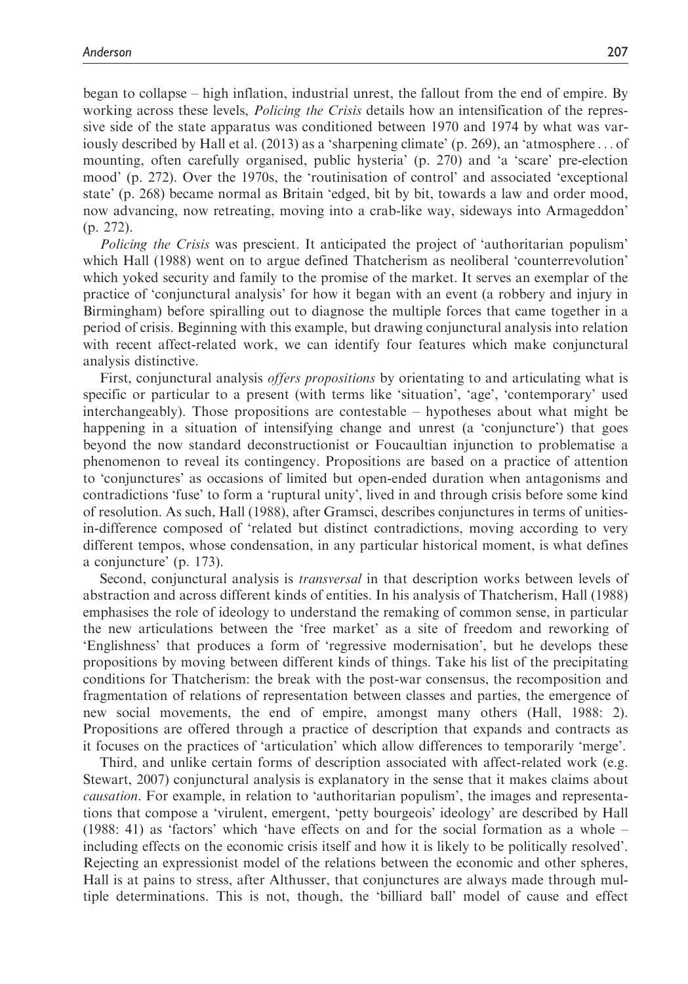began to collapse – high inflation, industrial unrest, the fallout from the end of empire. By working across these levels, *Policing the Crisis* details how an intensification of the repressive side of the state apparatus was conditioned between 1970 and 1974 by what was variously described by Hall et al. (2013) as a 'sharpening climate' (p. 269), an 'atmosphere ... of mounting, often carefully organised, public hysteria' (p. 270) and 'a 'scare' pre-election mood' (p. 272). Over the 1970s, the 'routinisation of control' and associated 'exceptional state' (p. 268) became normal as Britain 'edged, bit by bit, towards a law and order mood, now advancing, now retreating, moving into a crab-like way, sideways into Armageddon' (p. 272).

Policing the Crisis was prescient. It anticipated the project of 'authoritarian populism' which Hall (1988) went on to argue defined Thatcherism as neoliberal 'counterrevolution' which yoked security and family to the promise of the market. It serves an exemplar of the practice of 'conjunctural analysis' for how it began with an event (a robbery and injury in Birmingham) before spiralling out to diagnose the multiple forces that came together in a period of crisis. Beginning with this example, but drawing conjunctural analysis into relation with recent affect-related work, we can identify four features which make conjunctural analysis distinctive.

First, conjunctural analysis *offers propositions* by orientating to and articulating what is specific or particular to a present (with terms like 'situation', 'age', 'contemporary' used interchangeably). Those propositions are contestable – hypotheses about what might be happening in a situation of intensifying change and unrest (a 'conjuncture') that goes beyond the now standard deconstructionist or Foucaultian injunction to problematise a phenomenon to reveal its contingency. Propositions are based on a practice of attention to 'conjunctures' as occasions of limited but open-ended duration when antagonisms and contradictions 'fuse' to form a 'ruptural unity', lived in and through crisis before some kind of resolution. As such, Hall (1988), after Gramsci, describes conjunctures in terms of unitiesin-difference composed of 'related but distinct contradictions, moving according to very different tempos, whose condensation, in any particular historical moment, is what defines a conjuncture' (p. 173).

Second, conjunctural analysis is transversal in that description works between levels of abstraction and across different kinds of entities. In his analysis of Thatcherism, Hall (1988) emphasises the role of ideology to understand the remaking of common sense, in particular the new articulations between the 'free market' as a site of freedom and reworking of 'Englishness' that produces a form of 'regressive modernisation', but he develops these propositions by moving between different kinds of things. Take his list of the precipitating conditions for Thatcherism: the break with the post-war consensus, the recomposition and fragmentation of relations of representation between classes and parties, the emergence of new social movements, the end of empire, amongst many others (Hall, 1988: 2). Propositions are offered through a practice of description that expands and contracts as it focuses on the practices of 'articulation' which allow differences to temporarily 'merge'.

Third, and unlike certain forms of description associated with affect-related work (e.g. Stewart, 2007) conjunctural analysis is explanatory in the sense that it makes claims about causation. For example, in relation to 'authoritarian populism', the images and representations that compose a 'virulent, emergent, 'petty bourgeois' ideology' are described by Hall (1988: 41) as 'factors' which 'have effects on and for the social formation as a whole – including effects on the economic crisis itself and how it is likely to be politically resolved'. Rejecting an expressionist model of the relations between the economic and other spheres, Hall is at pains to stress, after Althusser, that conjunctures are always made through multiple determinations. This is not, though, the 'billiard ball' model of cause and effect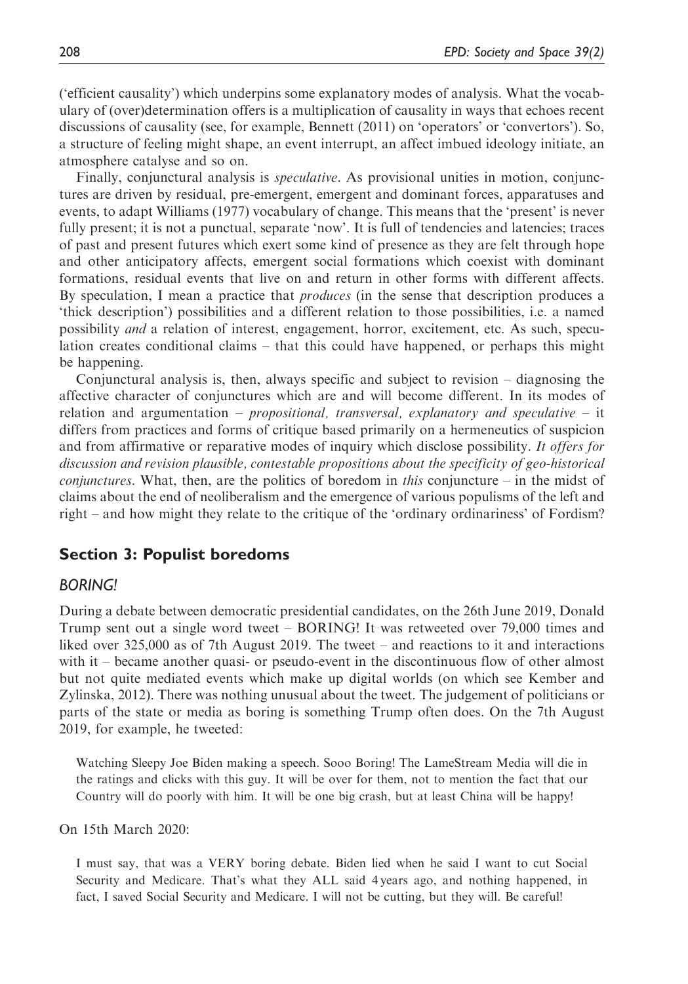('efficient causality') which underpins some explanatory modes of analysis. What the vocabulary of (over)determination offers is a multiplication of causality in ways that echoes recent discussions of causality (see, for example, Bennett (2011) on 'operators' or 'convertors'). So, a structure of feeling might shape, an event interrupt, an affect imbued ideology initiate, an atmosphere catalyse and so on.

Finally, conjunctural analysis is *speculative*. As provisional unities in motion, conjunctures are driven by residual, pre-emergent, emergent and dominant forces, apparatuses and events, to adapt Williams (1977) vocabulary of change. This means that the 'present' is never fully present; it is not a punctual, separate 'now'. It is full of tendencies and latencies; traces of past and present futures which exert some kind of presence as they are felt through hope and other anticipatory affects, emergent social formations which coexist with dominant formations, residual events that live on and return in other forms with different affects. By speculation, I mean a practice that *produces* (in the sense that description produces a 'thick description') possibilities and a different relation to those possibilities, i.e. a named possibility and a relation of interest, engagement, horror, excitement, etc. As such, speculation creates conditional claims – that this could have happened, or perhaps this might be happening.

Conjunctural analysis is, then, always specific and subject to revision – diagnosing the affective character of conjunctures which are and will become different. In its modes of relation and argumentation – *propositional, transversal, explanatory and speculative* – it differs from practices and forms of critique based primarily on a hermeneutics of suspicion and from affirmative or reparative modes of inquiry which disclose possibility. It offers for discussion and revision plausible, contestable propositions about the specificity of geo-historical *conjunctures.* What, then, are the politics of boredom in *this* conjuncture – in the midst of claims about the end of neoliberalism and the emergence of various populisms of the left and right – and how might they relate to the critique of the 'ordinary ordinariness' of Fordism?

## Section 3: Populist boredoms

### BORING!

During a debate between democratic presidential candidates, on the 26th June 2019, Donald Trump sent out a single word tweet – BORING! It was retweeted over 79,000 times and liked over 325,000 as of 7th August 2019. The tweet – and reactions to it and interactions with it – became another quasi- or pseudo-event in the discontinuous flow of other almost but not quite mediated events which make up digital worlds (on which see Kember and Zylinska, 2012). There was nothing unusual about the tweet. The judgement of politicians or parts of the state or media as boring is something Trump often does. On the 7th August 2019, for example, he tweeted:

Watching Sleepy Joe Biden making a speech. Sooo Boring! The LameStream Media will die in the ratings and clicks with this guy. It will be over for them, not to mention the fact that our Country will do poorly with him. It will be one big crash, but at least China will be happy!

On 15th March 2020:

I must say, that was a VERY boring debate. Biden lied when he said I want to cut Social Security and Medicare. That's what they ALL said 4 years ago, and nothing happened, in fact, I saved Social Security and Medicare. I will not be cutting, but they will. Be careful!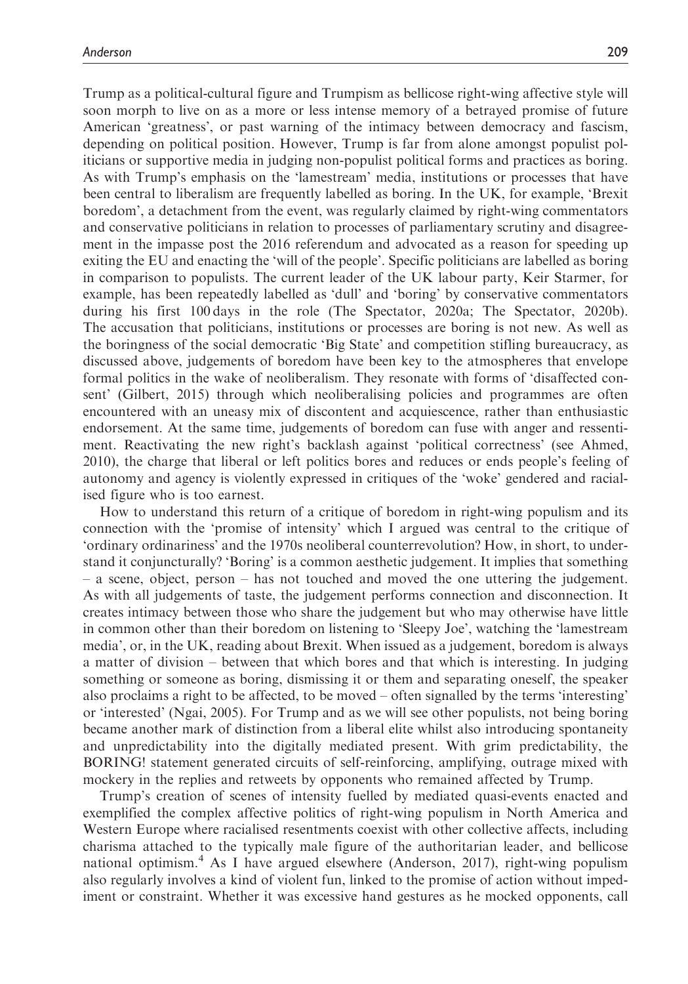Trump as a political-cultural figure and Trumpism as bellicose right-wing affective style will soon morph to live on as a more or less intense memory of a betrayed promise of future American 'greatness', or past warning of the intimacy between democracy and fascism, depending on political position. However, Trump is far from alone amongst populist politicians or supportive media in judging non-populist political forms and practices as boring. As with Trump's emphasis on the 'lamestream' media, institutions or processes that have been central to liberalism are frequently labelled as boring. In the UK, for example, 'Brexit boredom', a detachment from the event, was regularly claimed by right-wing commentators and conservative politicians in relation to processes of parliamentary scrutiny and disagreement in the impasse post the 2016 referendum and advocated as a reason for speeding up exiting the EU and enacting the 'will of the people'. Specific politicians are labelled as boring in comparison to populists. The current leader of the UK labour party, Keir Starmer, for example, has been repeatedly labelled as 'dull' and 'boring' by conservative commentators during his first 100 days in the role (The Spectator, 2020a; The Spectator, 2020b). The accusation that politicians, institutions or processes are boring is not new. As well as the boringness of the social democratic 'Big State' and competition stifling bureaucracy, as discussed above, judgements of boredom have been key to the atmospheres that envelope formal politics in the wake of neoliberalism. They resonate with forms of 'disaffected consent' (Gilbert, 2015) through which neoliberalising policies and programmes are often encountered with an uneasy mix of discontent and acquiescence, rather than enthusiastic endorsement. At the same time, judgements of boredom can fuse with anger and ressentiment. Reactivating the new right's backlash against 'political correctness' (see Ahmed, 2010), the charge that liberal or left politics bores and reduces or ends people's feeling of autonomy and agency is violently expressed in critiques of the 'woke' gendered and racialised figure who is too earnest.

How to understand this return of a critique of boredom in right-wing populism and its connection with the 'promise of intensity' which I argued was central to the critique of 'ordinary ordinariness' and the 1970s neoliberal counterrevolution? How, in short, to understand it conjuncturally? 'Boring' is a common aesthetic judgement. It implies that something – a scene, object, person – has not touched and moved the one uttering the judgement. As with all judgements of taste, the judgement performs connection and disconnection. It creates intimacy between those who share the judgement but who may otherwise have little in common other than their boredom on listening to 'Sleepy Joe', watching the 'lamestream media', or, in the UK, reading about Brexit. When issued as a judgement, boredom is always a matter of division – between that which bores and that which is interesting. In judging something or someone as boring, dismissing it or them and separating oneself, the speaker also proclaims a right to be affected, to be moved – often signalled by the terms 'interesting' or 'interested' (Ngai, 2005). For Trump and as we will see other populists, not being boring became another mark of distinction from a liberal elite whilst also introducing spontaneity and unpredictability into the digitally mediated present. With grim predictability, the BORING! statement generated circuits of self-reinforcing, amplifying, outrage mixed with mockery in the replies and retweets by opponents who remained affected by Trump.

Trump's creation of scenes of intensity fuelled by mediated quasi-events enacted and exemplified the complex affective politics of right-wing populism in North America and Western Europe where racialised resentments coexist with other collective affects, including charisma attached to the typically male figure of the authoritarian leader, and bellicose national optimism.<sup>4</sup> As I have argued elsewhere (Anderson, 2017), right-wing populism also regularly involves a kind of violent fun, linked to the promise of action without impediment or constraint. Whether it was excessive hand gestures as he mocked opponents, call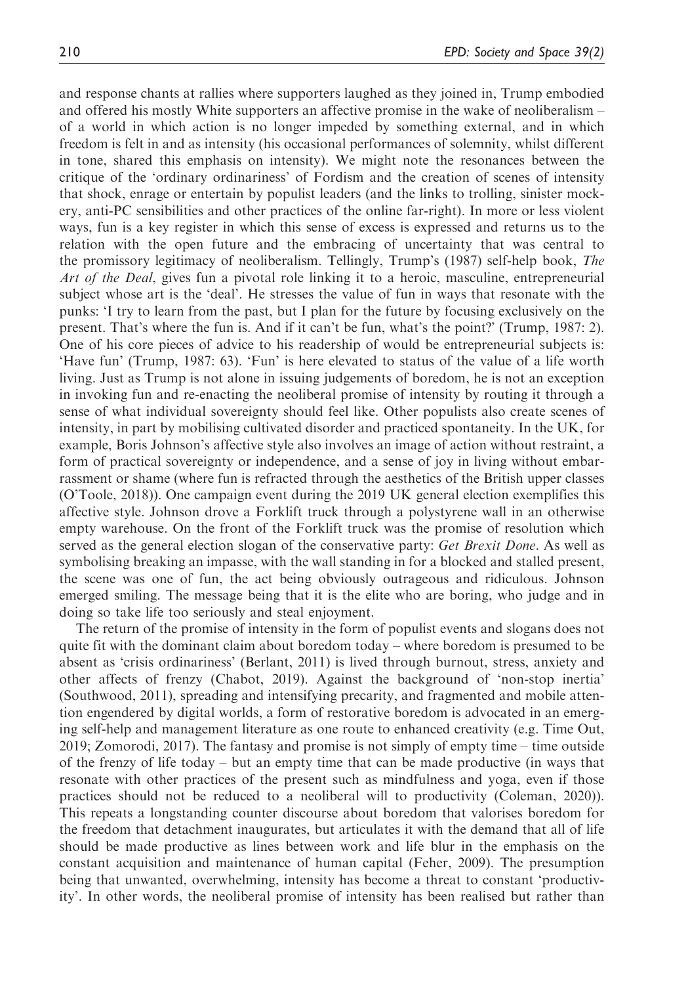and response chants at rallies where supporters laughed as they joined in, Trump embodied and offered his mostly White supporters an affective promise in the wake of neoliberalism – of a world in which action is no longer impeded by something external, and in which freedom is felt in and as intensity (his occasional performances of solemnity, whilst different in tone, shared this emphasis on intensity). We might note the resonances between the critique of the 'ordinary ordinariness' of Fordism and the creation of scenes of intensity that shock, enrage or entertain by populist leaders (and the links to trolling, sinister mockery, anti-PC sensibilities and other practices of the online far-right). In more or less violent ways, fun is a key register in which this sense of excess is expressed and returns us to the relation with the open future and the embracing of uncertainty that was central to the promissory legitimacy of neoliberalism. Tellingly, Trump's (1987) self-help book, The Art of the Deal, gives fun a pivotal role linking it to a heroic, masculine, entrepreneurial subject whose art is the 'deal'. He stresses the value of fun in ways that resonate with the punks: 'I try to learn from the past, but I plan for the future by focusing exclusively on the present. That's where the fun is. And if it can't be fun, what's the point?' (Trump, 1987: 2). One of his core pieces of advice to his readership of would be entrepreneurial subjects is: 'Have fun' (Trump, 1987: 63). 'Fun' is here elevated to status of the value of a life worth living. Just as Trump is not alone in issuing judgements of boredom, he is not an exception in invoking fun and re-enacting the neoliberal promise of intensity by routing it through a sense of what individual sovereignty should feel like. Other populists also create scenes of intensity, in part by mobilising cultivated disorder and practiced spontaneity. In the UK, for example, Boris Johnson's affective style also involves an image of action without restraint, a form of practical sovereignty or independence, and a sense of joy in living without embarrassment or shame (where fun is refracted through the aesthetics of the British upper classes (O'Toole, 2018)). One campaign event during the 2019 UK general election exemplifies this affective style. Johnson drove a Forklift truck through a polystyrene wall in an otherwise empty warehouse. On the front of the Forklift truck was the promise of resolution which served as the general election slogan of the conservative party: Get Brexit Done. As well as symbolising breaking an impasse, with the wall standing in for a blocked and stalled present, the scene was one of fun, the act being obviously outrageous and ridiculous. Johnson emerged smiling. The message being that it is the elite who are boring, who judge and in doing so take life too seriously and steal enjoyment.

The return of the promise of intensity in the form of populist events and slogans does not quite fit with the dominant claim about boredom today – where boredom is presumed to be absent as 'crisis ordinariness' (Berlant, 2011) is lived through burnout, stress, anxiety and other affects of frenzy (Chabot, 2019). Against the background of 'non-stop inertia' (Southwood, 2011), spreading and intensifying precarity, and fragmented and mobile attention engendered by digital worlds, a form of restorative boredom is advocated in an emerging self-help and management literature as one route to enhanced creativity (e.g. Time Out, 2019; Zomorodi, 2017). The fantasy and promise is not simply of empty time – time outside of the frenzy of life today – but an empty time that can be made productive (in ways that resonate with other practices of the present such as mindfulness and yoga, even if those practices should not be reduced to a neoliberal will to productivity (Coleman, 2020)). This repeats a longstanding counter discourse about boredom that valorises boredom for the freedom that detachment inaugurates, but articulates it with the demand that all of life should be made productive as lines between work and life blur in the emphasis on the constant acquisition and maintenance of human capital (Feher, 2009). The presumption being that unwanted, overwhelming, intensity has become a threat to constant 'productivity'. In other words, the neoliberal promise of intensity has been realised but rather than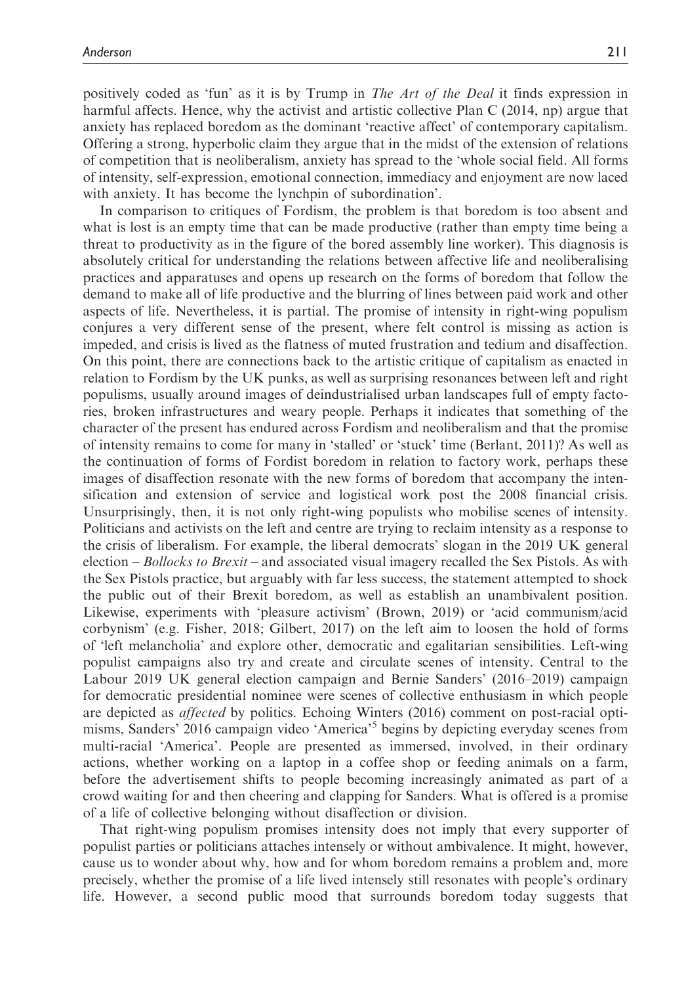positively coded as 'fun' as it is by Trump in The Art of the Deal it finds expression in harmful affects. Hence, why the activist and artistic collective Plan C (2014, np) argue that anxiety has replaced boredom as the dominant 'reactive affect' of contemporary capitalism. Offering a strong, hyperbolic claim they argue that in the midst of the extension of relations of competition that is neoliberalism, anxiety has spread to the 'whole social field. All forms of intensity, self-expression, emotional connection, immediacy and enjoyment are now laced with anxiety. It has become the lynchpin of subordination'.

In comparison to critiques of Fordism, the problem is that boredom is too absent and what is lost is an empty time that can be made productive (rather than empty time being a threat to productivity as in the figure of the bored assembly line worker). This diagnosis is absolutely critical for understanding the relations between affective life and neoliberalising practices and apparatuses and opens up research on the forms of boredom that follow the demand to make all of life productive and the blurring of lines between paid work and other aspects of life. Nevertheless, it is partial. The promise of intensity in right-wing populism conjures a very different sense of the present, where felt control is missing as action is impeded, and crisis is lived as the flatness of muted frustration and tedium and disaffection. On this point, there are connections back to the artistic critique of capitalism as enacted in relation to Fordism by the UK punks, as well as surprising resonances between left and right populisms, usually around images of deindustrialised urban landscapes full of empty factories, broken infrastructures and weary people. Perhaps it indicates that something of the character of the present has endured across Fordism and neoliberalism and that the promise of intensity remains to come for many in 'stalled' or 'stuck' time (Berlant, 2011)? As well as the continuation of forms of Fordist boredom in relation to factory work, perhaps these images of disaffection resonate with the new forms of boredom that accompany the intensification and extension of service and logistical work post the 2008 financial crisis. Unsurprisingly, then, it is not only right-wing populists who mobilise scenes of intensity. Politicians and activists on the left and centre are trying to reclaim intensity as a response to the crisis of liberalism. For example, the liberal democrats' slogan in the 2019 UK general election – Bollocks to Brexit – and associated visual imagery recalled the Sex Pistols. As with the Sex Pistols practice, but arguably with far less success, the statement attempted to shock the public out of their Brexit boredom, as well as establish an unambivalent position. Likewise, experiments with 'pleasure activism' (Brown, 2019) or 'acid communism/acid corbynism' (e.g. Fisher, 2018; Gilbert, 2017) on the left aim to loosen the hold of forms of 'left melancholia' and explore other, democratic and egalitarian sensibilities. Left-wing populist campaigns also try and create and circulate scenes of intensity. Central to the Labour 2019 UK general election campaign and Bernie Sanders' (2016–2019) campaign for democratic presidential nominee were scenes of collective enthusiasm in which people are depicted as affected by politics. Echoing Winters (2016) comment on post-racial optimisms, Sanders' 2016 campaign video 'America'<sup>5</sup> begins by depicting everyday scenes from multi-racial 'America'. People are presented as immersed, involved, in their ordinary actions, whether working on a laptop in a coffee shop or feeding animals on a farm, before the advertisement shifts to people becoming increasingly animated as part of a crowd waiting for and then cheering and clapping for Sanders. What is offered is a promise of a life of collective belonging without disaffection or division.

That right-wing populism promises intensity does not imply that every supporter of populist parties or politicians attaches intensely or without ambivalence. It might, however, cause us to wonder about why, how and for whom boredom remains a problem and, more precisely, whether the promise of a life lived intensely still resonates with people's ordinary life. However, a second public mood that surrounds boredom today suggests that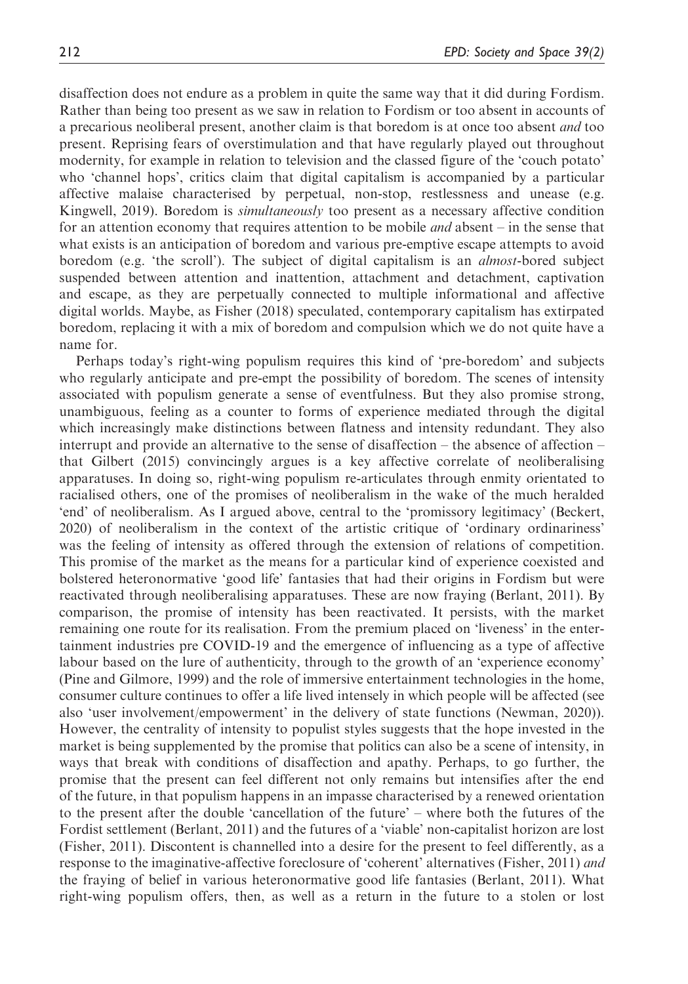disaffection does not endure as a problem in quite the same way that it did during Fordism. Rather than being too present as we saw in relation to Fordism or too absent in accounts of a precarious neoliberal present, another claim is that boredom is at once too absent *and* too present. Reprising fears of overstimulation and that have regularly played out throughout modernity, for example in relation to television and the classed figure of the 'couch potato' who 'channel hops', critics claim that digital capitalism is accompanied by a particular affective malaise characterised by perpetual, non-stop, restlessness and unease (e.g. Kingwell, 2019). Boredom is *simultaneously* too present as a necessary affective condition for an attention economy that requires attention to be mobile *and* absent – in the sense that what exists is an anticipation of boredom and various pre-emptive escape attempts to avoid boredom (e.g. 'the scroll'). The subject of digital capitalism is an *almost*-bored subject suspended between attention and inattention, attachment and detachment, captivation and escape, as they are perpetually connected to multiple informational and affective digital worlds. Maybe, as Fisher (2018) speculated, contemporary capitalism has extirpated boredom, replacing it with a mix of boredom and compulsion which we do not quite have a name for.

Perhaps today's right-wing populism requires this kind of 'pre-boredom' and subjects who regularly anticipate and pre-empt the possibility of boredom. The scenes of intensity associated with populism generate a sense of eventfulness. But they also promise strong, unambiguous, feeling as a counter to forms of experience mediated through the digital which increasingly make distinctions between flatness and intensity redundant. They also interrupt and provide an alternative to the sense of disaffection – the absence of affection – that Gilbert (2015) convincingly argues is a key affective correlate of neoliberalising apparatuses. In doing so, right-wing populism re-articulates through enmity orientated to racialised others, one of the promises of neoliberalism in the wake of the much heralded 'end' of neoliberalism. As I argued above, central to the 'promissory legitimacy' (Beckert, 2020) of neoliberalism in the context of the artistic critique of 'ordinary ordinariness' was the feeling of intensity as offered through the extension of relations of competition. This promise of the market as the means for a particular kind of experience coexisted and bolstered heteronormative 'good life' fantasies that had their origins in Fordism but were reactivated through neoliberalising apparatuses. These are now fraying (Berlant, 2011). By comparison, the promise of intensity has been reactivated. It persists, with the market remaining one route for its realisation. From the premium placed on 'liveness' in the entertainment industries pre COVID-19 and the emergence of influencing as a type of affective labour based on the lure of authenticity, through to the growth of an 'experience economy' (Pine and Gilmore, 1999) and the role of immersive entertainment technologies in the home, consumer culture continues to offer a life lived intensely in which people will be affected (see also 'user involvement/empowerment' in the delivery of state functions (Newman, 2020)). However, the centrality of intensity to populist styles suggests that the hope invested in the market is being supplemented by the promise that politics can also be a scene of intensity, in ways that break with conditions of disaffection and apathy. Perhaps, to go further, the promise that the present can feel different not only remains but intensifies after the end of the future, in that populism happens in an impasse characterised by a renewed orientation to the present after the double 'cancellation of the future' – where both the futures of the Fordist settlement (Berlant, 2011) and the futures of a 'viable' non-capitalist horizon are lost (Fisher, 2011). Discontent is channelled into a desire for the present to feel differently, as a response to the imaginative-affective foreclosure of 'coherent' alternatives (Fisher, 2011) and the fraying of belief in various heteronormative good life fantasies (Berlant, 2011). What right-wing populism offers, then, as well as a return in the future to a stolen or lost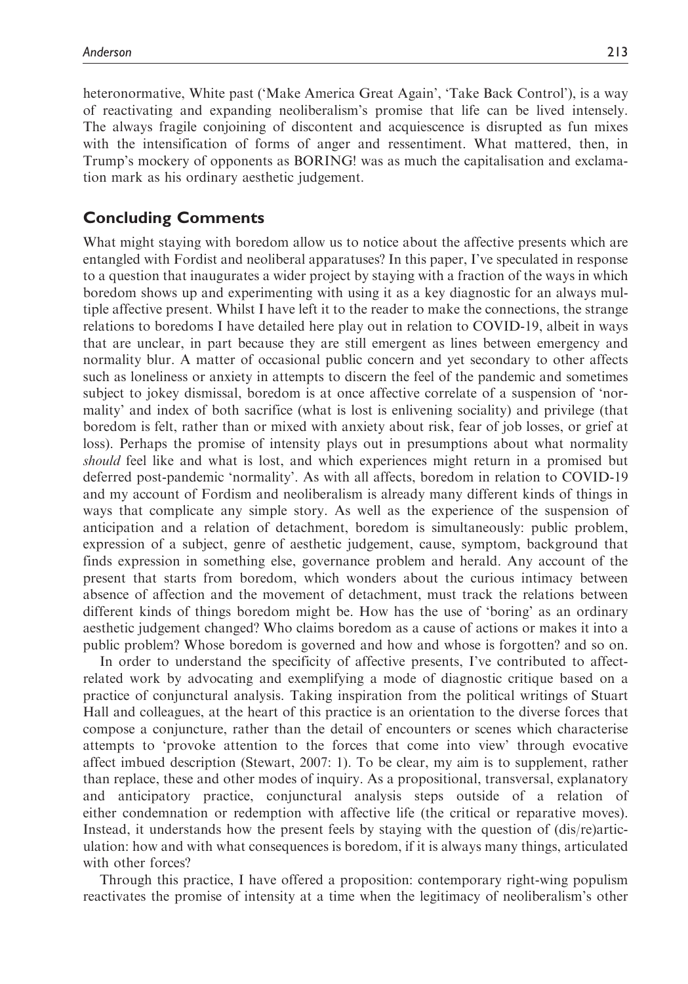heteronormative, White past ('Make America Great Again', 'Take Back Control'), is a way of reactivating and expanding neoliberalism's promise that life can be lived intensely. The always fragile conjoining of discontent and acquiescence is disrupted as fun mixes with the intensification of forms of anger and ressentiment. What mattered, then, in Trump's mockery of opponents as BORING! was as much the capitalisation and exclamation mark as his ordinary aesthetic judgement.

## Concluding Comments

What might staying with boredom allow us to notice about the affective presents which are entangled with Fordist and neoliberal apparatuses? In this paper, I've speculated in response to a question that inaugurates a wider project by staying with a fraction of the ways in which boredom shows up and experimenting with using it as a key diagnostic for an always multiple affective present. Whilst I have left it to the reader to make the connections, the strange relations to boredoms I have detailed here play out in relation to COVID-19, albeit in ways that are unclear, in part because they are still emergent as lines between emergency and normality blur. A matter of occasional public concern and yet secondary to other affects such as loneliness or anxiety in attempts to discern the feel of the pandemic and sometimes subject to jokey dismissal, boredom is at once affective correlate of a suspension of 'normality' and index of both sacrifice (what is lost is enlivening sociality) and privilege (that boredom is felt, rather than or mixed with anxiety about risk, fear of job losses, or grief at loss). Perhaps the promise of intensity plays out in presumptions about what normality should feel like and what is lost, and which experiences might return in a promised but deferred post-pandemic 'normality'. As with all affects, boredom in relation to COVID-19 and my account of Fordism and neoliberalism is already many different kinds of things in ways that complicate any simple story. As well as the experience of the suspension of anticipation and a relation of detachment, boredom is simultaneously: public problem, expression of a subject, genre of aesthetic judgement, cause, symptom, background that finds expression in something else, governance problem and herald. Any account of the present that starts from boredom, which wonders about the curious intimacy between absence of affection and the movement of detachment, must track the relations between different kinds of things boredom might be. How has the use of 'boring' as an ordinary aesthetic judgement changed? Who claims boredom as a cause of actions or makes it into a public problem? Whose boredom is governed and how and whose is forgotten? and so on.

In order to understand the specificity of affective presents, I've contributed to affectrelated work by advocating and exemplifying a mode of diagnostic critique based on a practice of conjunctural analysis. Taking inspiration from the political writings of Stuart Hall and colleagues, at the heart of this practice is an orientation to the diverse forces that compose a conjuncture, rather than the detail of encounters or scenes which characterise attempts to 'provoke attention to the forces that come into view' through evocative affect imbued description (Stewart, 2007: 1). To be clear, my aim is to supplement, rather than replace, these and other modes of inquiry. As a propositional, transversal, explanatory and anticipatory practice, conjunctural analysis steps outside of a relation of either condemnation or redemption with affective life (the critical or reparative moves). Instead, it understands how the present feels by staying with the question of (dis/re)articulation: how and with what consequences is boredom, if it is always many things, articulated with other forces?

Through this practice, I have offered a proposition: contemporary right-wing populism reactivates the promise of intensity at a time when the legitimacy of neoliberalism's other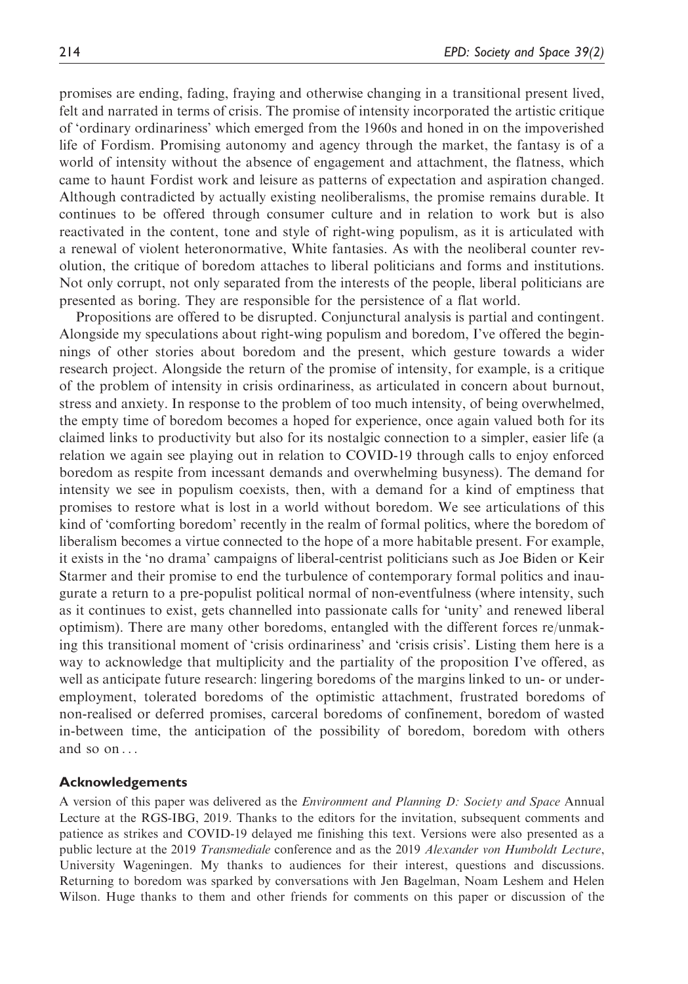promises are ending, fading, fraying and otherwise changing in a transitional present lived, felt and narrated in terms of crisis. The promise of intensity incorporated the artistic critique of 'ordinary ordinariness' which emerged from the 1960s and honed in on the impoverished life of Fordism. Promising autonomy and agency through the market, the fantasy is of a world of intensity without the absence of engagement and attachment, the flatness, which came to haunt Fordist work and leisure as patterns of expectation and aspiration changed. Although contradicted by actually existing neoliberalisms, the promise remains durable. It continues to be offered through consumer culture and in relation to work but is also reactivated in the content, tone and style of right-wing populism, as it is articulated with a renewal of violent heteronormative, White fantasies. As with the neoliberal counter revolution, the critique of boredom attaches to liberal politicians and forms and institutions. Not only corrupt, not only separated from the interests of the people, liberal politicians are presented as boring. They are responsible for the persistence of a flat world.

Propositions are offered to be disrupted. Conjunctural analysis is partial and contingent. Alongside my speculations about right-wing populism and boredom, I've offered the beginnings of other stories about boredom and the present, which gesture towards a wider research project. Alongside the return of the promise of intensity, for example, is a critique of the problem of intensity in crisis ordinariness, as articulated in concern about burnout, stress and anxiety. In response to the problem of too much intensity, of being overwhelmed, the empty time of boredom becomes a hoped for experience, once again valued both for its claimed links to productivity but also for its nostalgic connection to a simpler, easier life (a relation we again see playing out in relation to COVID-19 through calls to enjoy enforced boredom as respite from incessant demands and overwhelming busyness). The demand for intensity we see in populism coexists, then, with a demand for a kind of emptiness that promises to restore what is lost in a world without boredom. We see articulations of this kind of 'comforting boredom' recently in the realm of formal politics, where the boredom of liberalism becomes a virtue connected to the hope of a more habitable present. For example, it exists in the 'no drama' campaigns of liberal-centrist politicians such as Joe Biden or Keir Starmer and their promise to end the turbulence of contemporary formal politics and inaugurate a return to a pre-populist political normal of non-eventfulness (where intensity, such as it continues to exist, gets channelled into passionate calls for 'unity' and renewed liberal optimism). There are many other boredoms, entangled with the different forces re/unmaking this transitional moment of 'crisis ordinariness' and 'crisis crisis'. Listing them here is a way to acknowledge that multiplicity and the partiality of the proposition I've offered, as well as anticipate future research: lingering boredoms of the margins linked to un- or underemployment, tolerated boredoms of the optimistic attachment, frustrated boredoms of non-realised or deferred promises, carceral boredoms of confinement, boredom of wasted in-between time, the anticipation of the possibility of boredom, boredom with others and so on ...

#### Acknowledgements

A version of this paper was delivered as the *Environment and Planning D: Society and Space* Annual Lecture at the RGS-IBG, 2019. Thanks to the editors for the invitation, subsequent comments and patience as strikes and COVID-19 delayed me finishing this text. Versions were also presented as a public lecture at the 2019 Transmediale conference and as the 2019 Alexander von Humboldt Lecture, University Wageningen. My thanks to audiences for their interest, questions and discussions. Returning to boredom was sparked by conversations with Jen Bagelman, Noam Leshem and Helen Wilson. Huge thanks to them and other friends for comments on this paper or discussion of the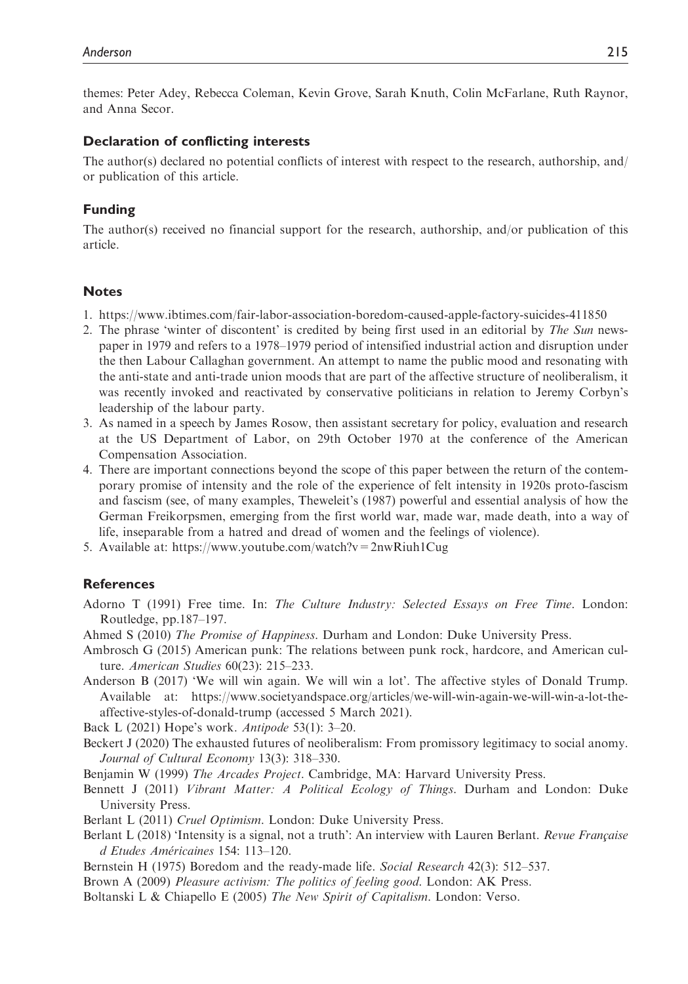themes: Peter Adey, Rebecca Coleman, Kevin Grove, Sarah Knuth, Colin McFarlane, Ruth Raynor, and Anna Secor.

#### Declaration of conflicting interests

The author(s) declared no potential conflicts of interest with respect to the research, authorship, and/ or publication of this article.

#### Funding

The author(s) received no financial support for the research, authorship, and/or publication of this article.

#### **Notes**

- 1.<https://www.ibtimes.com/fair-labor-association-boredom-caused-apple-factory-suicides-411850>
- 2. The phrase 'winter of discontent' is credited by being first used in an editorial by The Sun newspaper in 1979 and refers to a 1978–1979 period of intensified industrial action and disruption under the then Labour Callaghan government. An attempt to name the public mood and resonating with the anti-state and anti-trade union moods that are part of the affective structure of neoliberalism, it was recently invoked and reactivated by conservative politicians in relation to Jeremy Corbyn's leadership of the labour party.
- 3. As named in a speech by James Rosow, then assistant secretary for policy, evaluation and research at the US Department of Labor, on 29th October 1970 at the conference of the American Compensation Association.
- 4. There are important connections beyond the scope of this paper between the return of the contemporary promise of intensity and the role of the experience of felt intensity in 1920s proto-fascism and fascism (see, of many examples, Theweleit's (1987) powerful and essential analysis of how the German Freikorpsmen, emerging from the first world war, made war, made death, into a way of life, inseparable from a hatred and dread of women and the feelings of violence).
- 5. Available at:<https://www.youtube.com/watch?v=2nwRiuh1Cug>

### **References**

- Adorno T (1991) Free time. In: The Culture Industry: Selected Essays on Free Time. London: Routledge, pp.187–197.
- Ahmed S (2010) The Promise of Happiness. Durham and London: Duke University Press.
- Ambrosch G (2015) American punk: The relations between punk rock, hardcore, and American culture. American Studies 60(23): 215–233.
- Anderson B (2017) 'We will win again. We will win a lot'. The affective styles of Donald Trump. Available at: [https://www.societyandspace.org/articles/we-will-win-again-we-will-win-a-lot-the](https://www.societyandspace.org/articles/we-will-win-again-we-will-win-a-lot-the-affective-styles-of-donald-trump (accessed 5 March 2021))[affective-styles-of-donald-trump](https://www.societyandspace.org/articles/we-will-win-again-we-will-win-a-lot-the-affective-styles-of-donald-trump (accessed 5 March 2021)) (accessed 5 March 2021).

Back L (2021) Hope's work. Antipode 53(1): 3–20.

Beckert J (2020) The exhausted futures of neoliberalism: From promissory legitimacy to social anomy. Journal of Cultural Economy 13(3): 318–330.

Benjamin W (1999) The Arcades Project. Cambridge, MA: Harvard University Press.

- Bennett J (2011) Vibrant Matter: A Political Ecology of Things. Durham and London: Duke University Press.
- Berlant L (2011) Cruel Optimism. London: Duke University Press.
- Berlant L (2018) 'Intensity is a signal, not a truth': An interview with Lauren Berlant. Revue Française d Etudes Américaines 154: 113-120.
- Bernstein H (1975) Boredom and the ready-made life. Social Research 42(3): 512–537.
- Brown A (2009) Pleasure activism: The politics of feeling good. London: AK Press.
- Boltanski L & Chiapello E (2005) The New Spirit of Capitalism. London: Verso.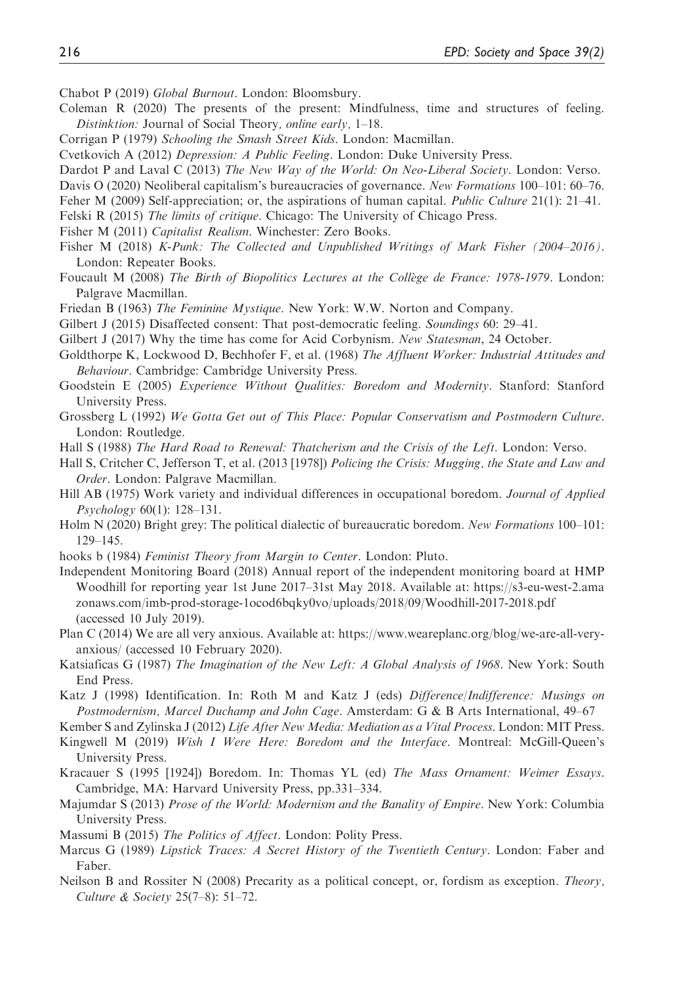Chabot P (2019) Global Burnout. London: Bloomsbury.

- Coleman R (2020) The presents of the present: Mindfulness, time and structures of feeling. Distinktion: Journal of Social Theory, online early, 1–18.
- Corrigan P (1979) Schooling the Smash Street Kids. London: Macmillan.
- Cvetkovich A (2012) Depression: A Public Feeling. London: Duke University Press.
- Dardot P and Laval C (2013) The New Way of the World: On Neo-Liberal Society. London: Verso.
- Davis O (2020) Neoliberal capitalism's bureaucracies of governance. New Formations 100–101: 60–76.
- Feher M (2009) Self-appreciation; or, the aspirations of human capital. Public Culture 21(1): 21–41.
- Felski R (2015) The limits of critique. Chicago: The University of Chicago Press.
- Fisher M (2011) Capitalist Realism. Winchester: Zero Books.
- Fisher M (2018) K-Punk: The Collected and Unpublished Writings of Mark Fisher (2004–2016). London: Repeater Books.
- Foucault M (2008) The Birth of Biopolitics Lectures at the Collège de France: 1978-1979. London: Palgrave Macmillan.
- Friedan B (1963) The Feminine Mystique. New York: W.W. Norton and Company.
- Gilbert J (2015) Disaffected consent: That post-democratic feeling. Soundings 60: 29–41.
- Gilbert J (2017) Why the time has come for Acid Corbynism. New Statesman, 24 October.
- Goldthorpe K, Lockwood D, Bechhofer F, et al. (1968) The Affluent Worker: Industrial Attitudes and Behaviour. Cambridge: Cambridge University Press.
- Goodstein E (2005) Experience Without Qualities: Boredom and Modernity. Stanford: Stanford University Press.
- Grossberg L (1992) We Gotta Get out of This Place: Popular Conservatism and Postmodern Culture. London: Routledge.
- Hall S (1988) The Hard Road to Renewal: Thatcherism and the Crisis of the Left. London: Verso.
- Hall S, Critcher C, Jefferson T, et al. (2013 [1978]) Policing the Crisis: Mugging, the State and Law and Order. London: Palgrave Macmillan.
- Hill AB (1975) Work variety and individual differences in occupational boredom. Journal of Applied Psychology 60(1): 128–131.
- Holm N (2020) Bright grey: The political dialectic of bureaucratic boredom. New Formations 100-101: 129–145.
- hooks b (1984) Feminist Theory from Margin to Center. London: Pluto.
- Independent Monitoring Board (2018) Annual report of the independent monitoring board at HMP Woodhill for reporting year 1st June 2017–31st May 2018. Available at: [https://s3-eu-west-2.ama](https://s3-eu-west-2.amazonaws.com/imb-prod-storage-1ocod6bqky0vo/uploads/2018/09/Woodhill-2017-2018.pdf) [zonaws.com/imb-prod-storage-1ocod6bqky0vo/uploads/2018/09/Woodhill-2017-2018.pdf](https://s3-eu-west-2.amazonaws.com/imb-prod-storage-1ocod6bqky0vo/uploads/2018/09/Woodhill-2017-2018.pdf) (accessed 10 July 2019).
- Plan C (2014) We are all very anxious. Available at: [https://www.weareplanc.org/blog/we-are-all-very](https://www.weareplanc.org/blog/we-are-all-very-anxious/)[anxious/](https://www.weareplanc.org/blog/we-are-all-very-anxious/) (accessed 10 February 2020).
- Katsiaficas G (1987) The Imagination of the New Left: A Global Analysis of 1968. New York: South End Press.
- Katz J (1998) Identification. In: Roth M and Katz J (eds) Difference/Indifference: Musings on Postmodernism, Marcel Duchamp and John Cage. Amsterdam: G & B Arts International, 49–67
- Kember S and Zylinska J (2012) Life After New Media: Mediation as a Vital Process. London: MIT Press.
- Kingwell M (2019) Wish I Were Here: Boredom and the Interface. Montreal: McGill-Queen's University Press.
- Kracauer S (1995 [1924]) Boredom. In: Thomas YL (ed) The Mass Ornament: Weimer Essays. Cambridge, MA: Harvard University Press, pp.331–334.
- Majumdar S (2013) Prose of the World: Modernism and the Banality of Empire. New York: Columbia University Press.
- Massumi B (2015) The Politics of Affect. London: Polity Press.
- Marcus G (1989) Lipstick Traces: A Secret History of the Twentieth Century. London: Faber and Faber.
- Neilson B and Rossiter N (2008) Precarity as a political concept, or, fordism as exception. *Theory*, Culture & Society 25(7–8): 51–72.